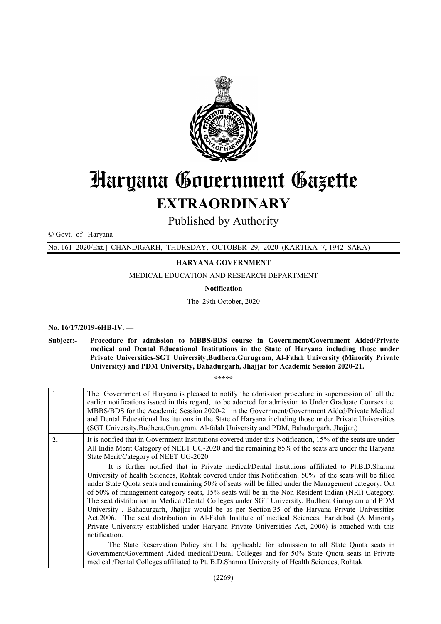

# Haryana Government Gazette

# EXTRAORDINARY

Published by Authority

© Govt. of Haryana

No. 161–2020/Ext.] CHANDIGARH, THURSDAY, OCTOBER 29, 2020 (KARTIKA 7, 1942 SAKA)

## HARYANA GOVERNMENT

MEDICAL EDUCATION AND RESEARCH DEPARTMENT

Notification

The 29th October, 2020

No. 16/17/2019-6HB-IV. —

Subject:- Procedure for admission to MBBS/BDS course in Government/Government Aided/Private medical and Dental Educational Institutions in the State of Haryana including those under Private Universities-SGT University,Budhera,Gurugram, Al-Falah University (Minority Private University) and PDM University, Bahadurgarh, Jhajjar for Academic Session 2020-21.

\*\*\*\*\*

| $\overline{1}$   | The Government of Haryana is pleased to notify the admission procedure in supersession of all the<br>earlier notifications issued in this regard, to be adopted for admission to Under Graduate Courses <i>i.e.</i><br>MBBS/BDS for the Academic Session 2020-21 in the Government/Government Aided/Private Medical<br>and Dental Educational Institutions in the State of Haryana including those under Private Universities<br>(SGT University, Budhera, Gurugram, Al-falah University and PDM, Bahadurgarh, Jhajjar.)                                                                                                                                                                                                                                                                                                                               |
|------------------|--------------------------------------------------------------------------------------------------------------------------------------------------------------------------------------------------------------------------------------------------------------------------------------------------------------------------------------------------------------------------------------------------------------------------------------------------------------------------------------------------------------------------------------------------------------------------------------------------------------------------------------------------------------------------------------------------------------------------------------------------------------------------------------------------------------------------------------------------------|
| $\overline{2}$ . | It is notified that in Government Institutions covered under this Notification, 15% of the seats are under<br>All India Merit Category of NEET UG-2020 and the remaining 85% of the seats are under the Haryana<br>State Merit/Category of NEET UG-2020.                                                                                                                                                                                                                                                                                                                                                                                                                                                                                                                                                                                               |
|                  | It is further notified that in Private medical/Dental Instituions affiliated to Pt.B.D.Sharma<br>University of health Sciences, Rohtak covered under this Notification. 50% of the seats will be filled<br>under State Quota seats and remaining 50% of seats will be filled under the Management category. Out<br>of 50% of management category seats, 15% seats will be in the Non-Resident Indian (NRI) Category.<br>The seat distribution in Medical/Dental Colleges under SGT University, Budhera Gurugram and PDM<br>University, Bahadurgarh, Jhajjar would be as per Section-35 of the Haryana Private Universities<br>Act, 2006. The seat distribution in Al-Falah Institute of medical Sciences, Faridabad (A Minority<br>Private University established under Haryana Private Universities Act, 2006) is attached with this<br>notification. |
|                  | The State Reservation Policy shall be applicable for admission to all State Quota seats in<br>Government/Government Aided medical/Dental Colleges and for 50% State Quota seats in Private<br>medical /Dental Colleges affiliated to Pt. B.D. Sharma University of Health Sciences, Rohtak                                                                                                                                                                                                                                                                                                                                                                                                                                                                                                                                                             |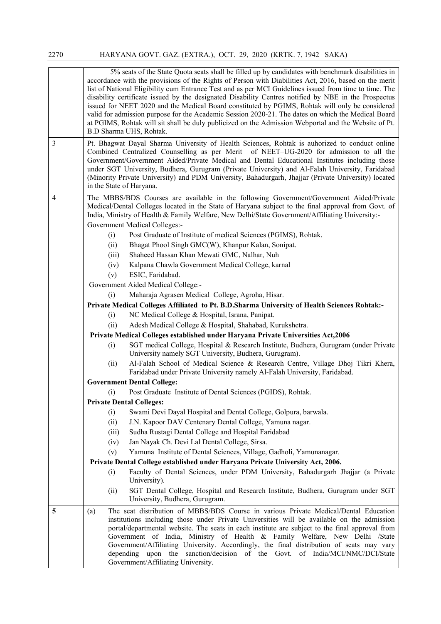|                | 5% seats of the State Quota seats shall be filled up by candidates with benchmark disabilities in<br>accordance with the provisions of the Rights of Person with Diabilities Act, 2016, based on the merit<br>list of National Eligibility cum Entrance Test and as per MCI Guidelines issued from time to time. The<br>disability certificate issued by the designated Disability Centres notified by NBE in the Prospectus<br>issued for NEET 2020 and the Medical Board constituted by PGIMS, Rohtak will only be considered<br>valid for admission purpose for the Academic Session 2020-21. The dates on which the Medical Board<br>at PGIMS, Rohtak will sit shall be duly publicized on the Admission Webportal and the Website of Pt.<br>B.D Sharma UHS, Rohtak. |                                                                                                                                                                                                                                                                                                                                                                                                                                                                                                                                                                                                                                                                                                                                                                                                                                                                                                                                                                                                                                                                                                                                                                                                                                                                                                                                                                                                                                                                                                                                                                                                                                |  |  |
|----------------|--------------------------------------------------------------------------------------------------------------------------------------------------------------------------------------------------------------------------------------------------------------------------------------------------------------------------------------------------------------------------------------------------------------------------------------------------------------------------------------------------------------------------------------------------------------------------------------------------------------------------------------------------------------------------------------------------------------------------------------------------------------------------|--------------------------------------------------------------------------------------------------------------------------------------------------------------------------------------------------------------------------------------------------------------------------------------------------------------------------------------------------------------------------------------------------------------------------------------------------------------------------------------------------------------------------------------------------------------------------------------------------------------------------------------------------------------------------------------------------------------------------------------------------------------------------------------------------------------------------------------------------------------------------------------------------------------------------------------------------------------------------------------------------------------------------------------------------------------------------------------------------------------------------------------------------------------------------------------------------------------------------------------------------------------------------------------------------------------------------------------------------------------------------------------------------------------------------------------------------------------------------------------------------------------------------------------------------------------------------------------------------------------------------------|--|--|
| 3              | Pt. Bhagwat Dayal Sharma University of Health Sciences, Rohtak is auhorized to conduct online<br>Combined Centralized Counselling as per Merit of NEET-UG-2020 for admission to all the<br>Government/Government Aided/Private Medical and Dental Educational Institutes including those<br>under SGT University, Budhera, Gurugram (Private University) and Al-Falah University, Faridabad<br>(Minority Private University) and PDM University, Bahadurgarh, Jhajjar (Private University) located<br>in the State of Haryana.                                                                                                                                                                                                                                           |                                                                                                                                                                                                                                                                                                                                                                                                                                                                                                                                                                                                                                                                                                                                                                                                                                                                                                                                                                                                                                                                                                                                                                                                                                                                                                                                                                                                                                                                                                                                                                                                                                |  |  |
| $\overline{4}$ | (i)<br>(ii)<br>(iii)<br>(iv)<br>(v)<br>(i)<br>(i)<br>(ii)<br>(i)<br>(ii)<br>(i)<br>(i)<br>(ii)<br>(iii)                                                                                                                                                                                                                                                                                                                                                                                                                                                                                                                                                                                                                                                                  | The MBBS/BDS Courses are available in the following Government/Government Aided/Private<br>Medical/Dental Colleges located in the State of Haryana subject to the final approval from Govt. of<br>India, Ministry of Health & Family Welfare, New Delhi/State Government/Affiliating University:-<br>Government Medical Colleges:-<br>Post Graduate of Institute of medical Sciences (PGIMS), Rohtak.<br>Bhagat Phool Singh GMC(W), Khanpur Kalan, Sonipat.<br>Shaheed Hassan Khan Mewati GMC, Nalhar, Nuh<br>Kalpana Chawla Government Medical College, karnal<br>ESIC, Faridabad.<br>Government Aided Medical College:-<br>Maharaja Agrasen Medical College, Agroha, Hisar.<br>Private Medical Colleges Affiliated to Pt. B.D.Sharma University of Health Sciences Rohtak:-<br>NC Medical College & Hospital, Israna, Panipat.<br>Adesh Medical College & Hospital, Shahabad, Kurukshetra.<br>Private Medical Colleges established under Haryana Private Universities Act, 2006<br>SGT medical College, Hospital & Research Institute, Budhera, Gurugram (under Private<br>University namely SGT University, Budhera, Gurugram).<br>Al-Falah School of Medical Science & Research Centre, Village Dhoj Tikri Khera,<br>Faridabad under Private University namely Al-Falah University, Faridabad.<br><b>Government Dental College:</b><br>Post Graduate Institute of Dental Sciences (PGIDS), Rohtak.<br><b>Private Dental Colleges:</b><br>Swami Devi Dayal Hospital and Dental College, Golpura, barwala.<br>J.N. Kapoor DAV Centenary Dental College, Yamuna nagar.<br>Sudha Rustagi Dental College and Hospital Faridabad |  |  |
|                | (iv)                                                                                                                                                                                                                                                                                                                                                                                                                                                                                                                                                                                                                                                                                                                                                                     | Jan Nayak Ch. Devi Lal Dental College, Sirsa.                                                                                                                                                                                                                                                                                                                                                                                                                                                                                                                                                                                                                                                                                                                                                                                                                                                                                                                                                                                                                                                                                                                                                                                                                                                                                                                                                                                                                                                                                                                                                                                  |  |  |
|                | (v)                                                                                                                                                                                                                                                                                                                                                                                                                                                                                                                                                                                                                                                                                                                                                                      | Yamuna Institute of Dental Sciences, Village, Gadholi, Yamunanagar.                                                                                                                                                                                                                                                                                                                                                                                                                                                                                                                                                                                                                                                                                                                                                                                                                                                                                                                                                                                                                                                                                                                                                                                                                                                                                                                                                                                                                                                                                                                                                            |  |  |
|                |                                                                                                                                                                                                                                                                                                                                                                                                                                                                                                                                                                                                                                                                                                                                                                          | Private Dental College established under Haryana Private University Act, 2006.                                                                                                                                                                                                                                                                                                                                                                                                                                                                                                                                                                                                                                                                                                                                                                                                                                                                                                                                                                                                                                                                                                                                                                                                                                                                                                                                                                                                                                                                                                                                                 |  |  |
|                | (i)                                                                                                                                                                                                                                                                                                                                                                                                                                                                                                                                                                                                                                                                                                                                                                      | Faculty of Dental Sciences, under PDM University, Bahadurgarh Jhajjar (a Private<br>University).                                                                                                                                                                                                                                                                                                                                                                                                                                                                                                                                                                                                                                                                                                                                                                                                                                                                                                                                                                                                                                                                                                                                                                                                                                                                                                                                                                                                                                                                                                                               |  |  |
|                | (ii)                                                                                                                                                                                                                                                                                                                                                                                                                                                                                                                                                                                                                                                                                                                                                                     | SGT Dental College, Hospital and Research Institute, Budhera, Gurugram under SGT<br>University, Budhera, Gurugram.                                                                                                                                                                                                                                                                                                                                                                                                                                                                                                                                                                                                                                                                                                                                                                                                                                                                                                                                                                                                                                                                                                                                                                                                                                                                                                                                                                                                                                                                                                             |  |  |
| 5              | (a)                                                                                                                                                                                                                                                                                                                                                                                                                                                                                                                                                                                                                                                                                                                                                                      | The seat distribution of MBBS/BDS Course in various Private Medical/Dental Education<br>institutions including those under Private Universities will be available on the admission<br>portal/departmental website. The seats in each institute are subject to the final approval from<br>Government of India, Ministry of Health & Family Welfare, New Delhi /State<br>Government/Affiliating University. Accordingly, the final distribution of seats may vary<br>depending upon the sanction/decision of the Govt. of India/MCI/NMC/DCI/State<br>Government/Affiliating University.                                                                                                                                                                                                                                                                                                                                                                                                                                                                                                                                                                                                                                                                                                                                                                                                                                                                                                                                                                                                                                          |  |  |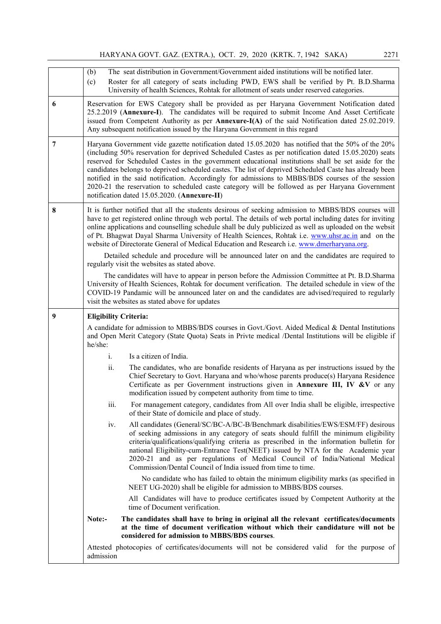HARYANA GOVT. GAZ. (EXTRA.), OCT. 29, 2020 (KRTK. 7, 1942 SAKA) 2271

|   | (b)<br>(c)                   | The seat distribution in Government/Government aided institutions will be notified later.<br>Roster for all category of seats including PWD, EWS shall be verified by Pt. B.D.Sharma<br>University of health Sciences, Rohtak for allotment of seats under reserved categories.                                                                                                                                                                                                                                                                                                                                                                                                   |  |  |
|---|------------------------------|-----------------------------------------------------------------------------------------------------------------------------------------------------------------------------------------------------------------------------------------------------------------------------------------------------------------------------------------------------------------------------------------------------------------------------------------------------------------------------------------------------------------------------------------------------------------------------------------------------------------------------------------------------------------------------------|--|--|
| 6 |                              | Reservation for EWS Category shall be provided as per Haryana Government Notification dated<br>25.2.2019 (Annexure-I). The candidates will be required to submit Income And Asset Certificate<br>issued from Competent Authority as per <b>Annexure-I(A)</b> of the said Notification dated 25.02.2019.<br>Any subsequent notification issued by the Haryana Government in this regard                                                                                                                                                                                                                                                                                            |  |  |
| 7 |                              | Haryana Government vide gazette notification dated 15.05.2020 has notified that the 50% of the 20%<br>(including 50% reservation for deprived Scheduled Castes as per notification dated 15.05.2020) seats<br>reserved for Scheduled Castes in the government educational institutions shall be set aside for the<br>candidates belongs to deprived scheduled castes. The list of deprived Scheduled Caste has already been<br>notified in the said notification. Accordingly for admissions to MBBS/BDS courses of the session<br>2020-21 the reservation to scheduled caste category will be followed as per Haryana Government<br>notification dated 15.05.2020. (Annexure-II) |  |  |
| 8 |                              | It is further notified that all the students desirous of seeking admission to MBBS/BDS courses will<br>have to get registered online through web portal. The details of web portal including dates for inviting<br>online applications and counselling schedule shall be duly publicized as well as uploaded on the websit<br>of Pt. Bhagwat Dayal Sharma University of Health Sciences, Rohtak i.e. www.uhsr.ac.in and on the<br>website of Directorate General of Medical Education and Research <i>i.e.</i> www.dmerharyana.org.                                                                                                                                               |  |  |
|   |                              | Detailed schedule and procedure will be announced later on and the candidates are required to<br>regularly visit the websites as stated above.                                                                                                                                                                                                                                                                                                                                                                                                                                                                                                                                    |  |  |
|   |                              | The candidates will have to appear in person before the Admission Committee at Pt. B.D.Sharma<br>University of Health Sciences, Rohtak for document verification. The detailed schedule in view of the<br>COVID-19 Pandamic will be announced later on and the candidates are advised/required to regularly<br>visit the websites as stated above for updates                                                                                                                                                                                                                                                                                                                     |  |  |
|   |                              |                                                                                                                                                                                                                                                                                                                                                                                                                                                                                                                                                                                                                                                                                   |  |  |
| 9 | <b>Eligibility Criteria:</b> |                                                                                                                                                                                                                                                                                                                                                                                                                                                                                                                                                                                                                                                                                   |  |  |
|   | he/she:                      | A candidate for admission to MBBS/BDS courses in Govt./Govt. Aided Medical & Dental Institutions<br>and Open Merit Category (State Quota) Seats in Privte medical /Dental Institutions will be eligible if                                                                                                                                                                                                                                                                                                                                                                                                                                                                        |  |  |
|   | i.                           | Is a citizen of India.                                                                                                                                                                                                                                                                                                                                                                                                                                                                                                                                                                                                                                                            |  |  |
|   | ii.                          | The candidates, who are bonafide residents of Haryana as per instructions issued by the<br>Chief Secretary to Govt. Haryana and who/whose parents produce(s) Haryana Residence<br>Certificate as per Government instructions given in Annexure III, IV &V or any<br>modification issued by competent authority from time to time.                                                                                                                                                                                                                                                                                                                                                 |  |  |
|   | iii.                         | For management category, candidates from All over India shall be eligible, irrespective<br>of their State of domicile and place of study.                                                                                                                                                                                                                                                                                                                                                                                                                                                                                                                                         |  |  |
|   | iv.                          | All candidates (General/SC/BC-A/BC-B/Benchmark disabilities/EWS/ESM/FF) desirous<br>of seeking admissions in any category of seats should fulfill the minimum eligibility<br>criteria/qualifications/qualifying criteria as prescribed in the information bulletin for<br>national Eligibility-cum-Entrance Test(NEET) issued by NTA for the Academic year<br>2020-21 and as per regulations of Medical Council of India/National Medical<br>Commission/Dental Council of India issued from time to time.                                                                                                                                                                         |  |  |
|   |                              | No candidate who has failed to obtain the minimum eligibility marks (as specified in<br>NEET UG-2020) shall be eligible for admission to MBBS/BDS courses.                                                                                                                                                                                                                                                                                                                                                                                                                                                                                                                        |  |  |
|   |                              | All Candidates will have to produce certificates issued by Competent Authority at the<br>time of Document verification.                                                                                                                                                                                                                                                                                                                                                                                                                                                                                                                                                           |  |  |
|   | Note:-                       | The candidates shall have to bring in original all the relevant certificates/documents<br>at the time of document verification without which their candidature will not be<br>considered for admission to MBBS/BDS courses.                                                                                                                                                                                                                                                                                                                                                                                                                                                       |  |  |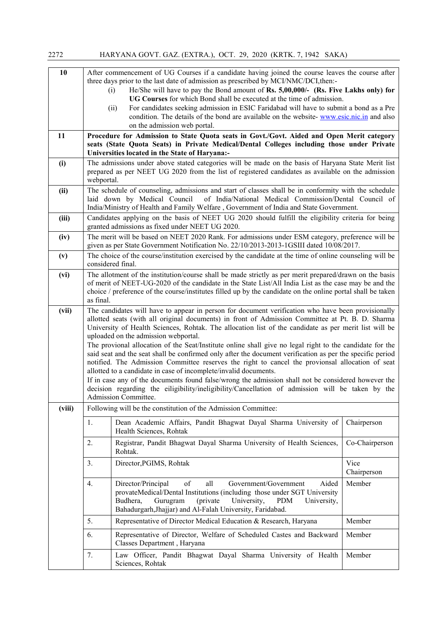| 10<br>11 | After commencement of UG Courses if a candidate having joined the course leaves the course after<br>three days prior to the last date of admission as prescribed by MCI/NMC/DCI, then:-<br>He/She will have to pay the Bond amount of Rs. 5,00,000/- (Rs. Five Lakhs only) for<br>(i)<br>UG Courses for which Bond shall be executed at the time of admission.<br>For candidates seeking admission in ESIC Faridabad will have to submit a bond as a Pre<br>(ii)<br>condition. The details of the bond are available on the website-www.esic.nic.in and also<br>on the admission web portal.<br>Procedure for Admission to State Quota seats in Govt./Govt. Aided and Open Merit category<br>seats (State Quota Seats) in Private Medical/Dental Colleges including those under Private                                                                                                                                                                                                            |                                                                                                                                                                                                                                                                                          |                     |  |  |  |
|----------|----------------------------------------------------------------------------------------------------------------------------------------------------------------------------------------------------------------------------------------------------------------------------------------------------------------------------------------------------------------------------------------------------------------------------------------------------------------------------------------------------------------------------------------------------------------------------------------------------------------------------------------------------------------------------------------------------------------------------------------------------------------------------------------------------------------------------------------------------------------------------------------------------------------------------------------------------------------------------------------------------|------------------------------------------------------------------------------------------------------------------------------------------------------------------------------------------------------------------------------------------------------------------------------------------|---------------------|--|--|--|
|          |                                                                                                                                                                                                                                                                                                                                                                                                                                                                                                                                                                                                                                                                                                                                                                                                                                                                                                                                                                                                    | Universities located in the State of Haryana:-                                                                                                                                                                                                                                           |                     |  |  |  |
| (i)      |                                                                                                                                                                                                                                                                                                                                                                                                                                                                                                                                                                                                                                                                                                                                                                                                                                                                                                                                                                                                    | The admissions under above stated categories will be made on the basis of Haryana State Merit list<br>prepared as per NEET UG 2020 from the list of registered candidates as available on the admission<br>webportal.                                                                    |                     |  |  |  |
| (ii)     |                                                                                                                                                                                                                                                                                                                                                                                                                                                                                                                                                                                                                                                                                                                                                                                                                                                                                                                                                                                                    | The schedule of counseling, admissions and start of classes shall be in conformity with the schedule<br>of India/National Medical Commission/Dental Council of<br>laid down by Medical Council<br>India/Ministry of Health and Family Welfare, Government of India and State Government. |                     |  |  |  |
| (iii)    |                                                                                                                                                                                                                                                                                                                                                                                                                                                                                                                                                                                                                                                                                                                                                                                                                                                                                                                                                                                                    | Candidates applying on the basis of NEET UG 2020 should fulfill the eligibility criteria for being<br>granted admissions as fixed under NEET UG 2020.                                                                                                                                    |                     |  |  |  |
| (iv)     |                                                                                                                                                                                                                                                                                                                                                                                                                                                                                                                                                                                                                                                                                                                                                                                                                                                                                                                                                                                                    | The merit will be based on NEET 2020 Rank. For admissions under ESM category, preference will be<br>given as per State Government Notification No. 22/10/2013-2013-1GSIII dated 10/08/2017.                                                                                              |                     |  |  |  |
| (v)      |                                                                                                                                                                                                                                                                                                                                                                                                                                                                                                                                                                                                                                                                                                                                                                                                                                                                                                                                                                                                    | The choice of the course/institution exercised by the candidate at the time of online counseling will be<br>considered final.                                                                                                                                                            |                     |  |  |  |
| (vi)     | The allotment of the institution/course shall be made strictly as per merit prepared/drawn on the basis<br>of merit of NEET-UG-2020 of the candidate in the State List/All India List as the case may be and the<br>choice / preference of the course/institutes filled up by the candidate on the online portal shall be taken<br>as final.                                                                                                                                                                                                                                                                                                                                                                                                                                                                                                                                                                                                                                                       |                                                                                                                                                                                                                                                                                          |                     |  |  |  |
| (vii)    | The candidates will have to appear in person for document verification who have been provisionally<br>allotted seats (with all original documents) in front of Admission Committee at Pt. B. D. Sharma<br>University of Health Sciences, Rohtak. The allocation list of the candidate as per merit list will be<br>uploaded on the admission webportal.<br>The provional allocation of the Seat/Institute online shall give no legal right to the candidate for the<br>said seat and the seat shall be confirmed only after the document verification as per the specific period<br>notified. The Admission Committee reserves the right to cancel the provionsal allocation of seat<br>allotted to a candidate in case of incomplete/invalid documents.<br>If in case any of the documents found false/wrong the admission shall not be considered however the<br>decision regarding the eiligibility/ineligibility/Cancellation of admission will be taken by the<br><b>Admission Committee.</b> |                                                                                                                                                                                                                                                                                          |                     |  |  |  |
| (viii)   |                                                                                                                                                                                                                                                                                                                                                                                                                                                                                                                                                                                                                                                                                                                                                                                                                                                                                                                                                                                                    | Following will be the constitution of the Admission Committee:                                                                                                                                                                                                                           |                     |  |  |  |
|          | 1.                                                                                                                                                                                                                                                                                                                                                                                                                                                                                                                                                                                                                                                                                                                                                                                                                                                                                                                                                                                                 | Dean Academic Affairs, Pandit Bhagwat Dayal Sharma University of<br>Health Sciences, Rohtak                                                                                                                                                                                              | Chairperson         |  |  |  |
|          | 2.<br>Registrar, Pandit Bhagwat Dayal Sharma University of Health Sciences,<br>Rohtak.                                                                                                                                                                                                                                                                                                                                                                                                                                                                                                                                                                                                                                                                                                                                                                                                                                                                                                             |                                                                                                                                                                                                                                                                                          | Co-Chairperson      |  |  |  |
|          | 3.                                                                                                                                                                                                                                                                                                                                                                                                                                                                                                                                                                                                                                                                                                                                                                                                                                                                                                                                                                                                 | Director, PGIMS, Rohtak                                                                                                                                                                                                                                                                  | Vice<br>Chairperson |  |  |  |
|          | Director/Principal<br>of<br>all<br>Government/Government<br>Aided<br>Member<br>4.<br>provateMedical/Dental Institutions (including those under SGT University<br>University,<br>Gurugram<br>(private)<br>Budhera,<br><b>PDM</b><br>University,<br>Bahadurgarh, Jhajjar) and Al-Falah University, Faridabad.                                                                                                                                                                                                                                                                                                                                                                                                                                                                                                                                                                                                                                                                                        |                                                                                                                                                                                                                                                                                          |                     |  |  |  |
|          | 5.<br>Representative of Director Medical Education & Research, Haryana<br>Member                                                                                                                                                                                                                                                                                                                                                                                                                                                                                                                                                                                                                                                                                                                                                                                                                                                                                                                   |                                                                                                                                                                                                                                                                                          |                     |  |  |  |
|          | 6.<br>Representative of Director, Welfare of Scheduled Castes and Backward<br>Member<br>Classes Department, Haryana                                                                                                                                                                                                                                                                                                                                                                                                                                                                                                                                                                                                                                                                                                                                                                                                                                                                                |                                                                                                                                                                                                                                                                                          |                     |  |  |  |
|          | 7.<br>Law Officer, Pandit Bhagwat Dayal Sharma University of Health<br>Member<br>Sciences, Rohtak                                                                                                                                                                                                                                                                                                                                                                                                                                                                                                                                                                                                                                                                                                                                                                                                                                                                                                  |                                                                                                                                                                                                                                                                                          |                     |  |  |  |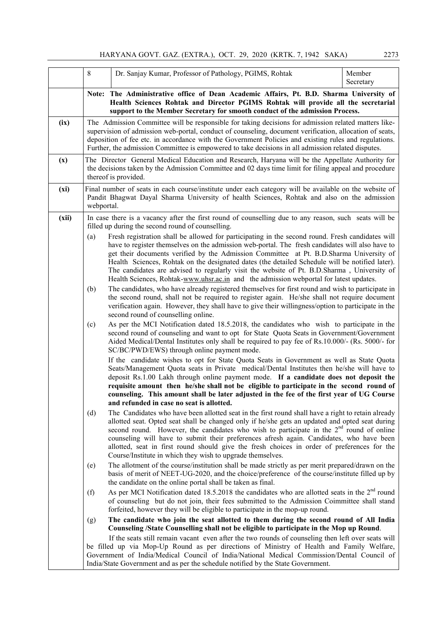|       | 8   | Dr. Sanjay Kumar, Professor of Pathology, PGIMS, Rohtak                                                                                                                                                                                                                                                                                                                                                                                                                               | Member<br>Secretary |
|-------|-----|---------------------------------------------------------------------------------------------------------------------------------------------------------------------------------------------------------------------------------------------------------------------------------------------------------------------------------------------------------------------------------------------------------------------------------------------------------------------------------------|---------------------|
|       |     | Note: The Administrative office of Dean Academic Affairs, Pt. B.D. Sharma University of<br>Health Sciences Rohtak and Director PGIMS Rohtak will provide all the secretarial<br>support to the Member Secretary for smooth conduct of the admission Process.                                                                                                                                                                                                                          |                     |
| (ix)  |     | The Admission Committee will be responsible for taking decisions for admission related matters like-<br>supervision of admission web-portal, conduct of counseling, document verification, allocation of seats,<br>deposition of fee etc. in accordance with the Government Policies and existing rules and regulations.<br>Further, the admission Committee is empowered to take decisions in all admission related disputes.                                                        |                     |
| (x)   |     | The Director General Medical Education and Research, Haryana will be the Appellate Authority for<br>the decisions taken by the Admission Committee and 02 days time limit for filing appeal and procedure<br>thereof is provided.                                                                                                                                                                                                                                                     |                     |
| (xi)  |     | Final number of seats in each course/institute under each category will be available on the website of<br>Pandit Bhagwat Dayal Sharma University of health Sciences, Rohtak and also on the admission<br>webportal.                                                                                                                                                                                                                                                                   |                     |
| (xii) | (a) | In case there is a vacancy after the first round of counselling due to any reason, such seats will be<br>filled up during the second round of counselling.<br>Fresh registration shall be allowed for participating in the second round. Fresh candidates will                                                                                                                                                                                                                        |                     |
|       |     | have to register themselves on the admission web-portal. The fresh candidates will also have to<br>get their documents verified by the Admission Committee at Pt. B.D.Sharma University of<br>Health Sciences, Rohtak on the designated dates (the detailed Schedule will be notified later).<br>The candidates are advised to regularly visit the website of Pt. B.D.Sharma, University of<br>Health Sciences, Rohtak-www.uhsr.ac.in and the admission webportal for latest updates. |                     |
|       | (b) | The candidates, who have already registered themselves for first round and wish to participate in<br>the second round, shall not be required to register again. He/she shall not require document<br>verification again. However, they shall have to give their willingness/option to participate in the<br>second round of counselling online.                                                                                                                                       |                     |
|       | (c) | As per the MCI Notification dated 18.5.2018, the candidates who wish to participate in the                                                                                                                                                                                                                                                                                                                                                                                            |                     |

(c) As per the MCI Notification dated 18.5.2018, the candidates who wish to participate in the second round of counseling and want to opt for State Quota Seats in Government/Government Aided Medical/Dental Institutes only shall be required to pay fee of Rs.10.000/- (Rs. 5000/- for SC/BC/PWD/EWS) through online payment mode.

If the candidate wishes to opt for State Quota Seats in Government as well as State Quota Seats/Management Quota seats in Private medical/Dental Institutes then he/she will have to deposit Rs.1.00 Lakh through online payment mode. If a candidate does not deposit the requisite amount then he/she shall not be eligible to participate in the second round of counseling. This amount shall be later adjusted in the fee of the first year of UG Course and refunded in case no seat is allotted.

- (d) The Candidates who have been allotted seat in the first round shall have a right to retain already allotted seat. Opted seat shall be changed only if he/she gets an updated and opted seat during second round. However, the candidates who wish to participate in the  $2<sup>nd</sup>$  round of online counseling will have to submit their preferences afresh again. Candidates, who have been allotted, seat in first round should give the fresh choices in order of preferences for the Course/Institute in which they wish to upgrade themselves.
- (e) The allotment of the course/institution shall be made strictly as per merit prepared/drawn on the basis of merit of NEET-UG-2020, and the choice/preference of the course/institute filled up by the candidate on the online portal shall be taken as final.
- (f) As per MCI Notification dated 18.5.2018 the candidates who are allotted seats in the  $2<sup>nd</sup>$  round of counseling but do not join, their fees submitted to the Admission Coimmittee shall stand forfeited, however they will be eligible to participate in the mop-up round.

## (g) The candidate who join the seat allotted to them during the second round of All India Counseling /State Counselling shall not be eligible to participate in the Mop up Round.

 If the seats still remain vacant even after the two rounds of counseling then left over seats will be filled up via Mop-Up Round as per directions of Ministry of Health and Family Welfare, Government of India/Medical Council of India/National Medical Commission/Dental Council of India/State Government and as per the schedule notified by the State Government.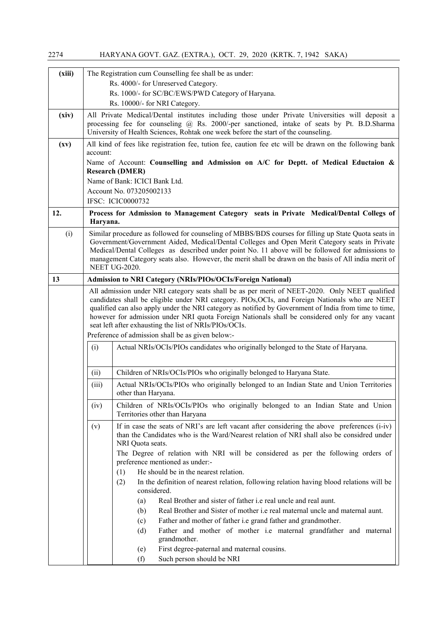| (xiii) |                                                                                                                                                                                                                                                                                                           | The Registration cum Counselling fee shall be as under:                                                                                                                                                                                                                                                                                                                                                                                                                 |  |  |  |  |
|--------|-----------------------------------------------------------------------------------------------------------------------------------------------------------------------------------------------------------------------------------------------------------------------------------------------------------|-------------------------------------------------------------------------------------------------------------------------------------------------------------------------------------------------------------------------------------------------------------------------------------------------------------------------------------------------------------------------------------------------------------------------------------------------------------------------|--|--|--|--|
|        |                                                                                                                                                                                                                                                                                                           | Rs. 4000/- for Unreserved Category.                                                                                                                                                                                                                                                                                                                                                                                                                                     |  |  |  |  |
|        |                                                                                                                                                                                                                                                                                                           | Rs. 1000/- for SC/BC/EWS/PWD Category of Haryana.                                                                                                                                                                                                                                                                                                                                                                                                                       |  |  |  |  |
|        |                                                                                                                                                                                                                                                                                                           | Rs. 10000/- for NRI Category.                                                                                                                                                                                                                                                                                                                                                                                                                                           |  |  |  |  |
| (xiv)  |                                                                                                                                                                                                                                                                                                           | All Private Medical/Dental institutes including those under Private Universities will deposit a<br>processing fee for counseling @ Rs. 2000/-per sanctioned, intake of seats by Pt. B.D.Sharma<br>University of Health Sciences, Rohtak one week before the start of the counseling.                                                                                                                                                                                    |  |  |  |  |
| (xv)   | account:                                                                                                                                                                                                                                                                                                  | All kind of fees like registration fee, tution fee, caution fee etc will be drawn on the following bank                                                                                                                                                                                                                                                                                                                                                                 |  |  |  |  |
|        |                                                                                                                                                                                                                                                                                                           | Name of Account: Counselling and Admission on A/C for Deptt. of Medical Eductaion &<br><b>Research (DMER)</b>                                                                                                                                                                                                                                                                                                                                                           |  |  |  |  |
|        |                                                                                                                                                                                                                                                                                                           | Name of Bank: ICICI Bank Ltd.                                                                                                                                                                                                                                                                                                                                                                                                                                           |  |  |  |  |
|        |                                                                                                                                                                                                                                                                                                           | Account No. 073205002133                                                                                                                                                                                                                                                                                                                                                                                                                                                |  |  |  |  |
|        |                                                                                                                                                                                                                                                                                                           | IFSC: ICIC0000732                                                                                                                                                                                                                                                                                                                                                                                                                                                       |  |  |  |  |
| 12.    | Haryana.                                                                                                                                                                                                                                                                                                  | Process for Admission to Management Category seats in Private Medical/Dental Collegs of                                                                                                                                                                                                                                                                                                                                                                                 |  |  |  |  |
| (i)    |                                                                                                                                                                                                                                                                                                           | Similar procedure as followed for counseling of MBBS/BDS courses for filling up State Quota seats in<br>Government/Government Aided, Medical/Dental Colleges and Open Merit Category seats in Private<br>Medical/Dental Colleges as described under point No. 11 above will be followed for admissions to<br>management Category seats also. However, the merit shall be drawn on the basis of All india merit of<br><b>NEET UG-2020.</b>                               |  |  |  |  |
| 13     |                                                                                                                                                                                                                                                                                                           | Admission to NRI Category (NRIs/PIOs/OCIs/Foreign National)                                                                                                                                                                                                                                                                                                                                                                                                             |  |  |  |  |
|        |                                                                                                                                                                                                                                                                                                           | All admission under NRI category seats shall be as per merit of NEET-2020. Only NEET qualified<br>candidates shall be eligible under NRI category. PIOs, OCIs, and Foreign Nationals who are NEET<br>qualified can also apply under the NRI category as notified by Government of India from time to time,<br>however for admission under NRI quota Foreign Nationals shall be considered only for any vacant<br>seat left after exhausting the list of NRIs/PIOs/OCIs. |  |  |  |  |
|        |                                                                                                                                                                                                                                                                                                           | Preference of admission shall be as given below:-                                                                                                                                                                                                                                                                                                                                                                                                                       |  |  |  |  |
|        | (i)                                                                                                                                                                                                                                                                                                       | Actual NRIs/OCIs/PIOs candidates who originally belonged to the State of Haryana.                                                                                                                                                                                                                                                                                                                                                                                       |  |  |  |  |
|        | (ii)                                                                                                                                                                                                                                                                                                      | Children of NRIs/OCIs/PIOs who originally belonged to Haryana State.                                                                                                                                                                                                                                                                                                                                                                                                    |  |  |  |  |
|        | (iii)                                                                                                                                                                                                                                                                                                     | Actual NRIs/OCIs/PIOs who originally belonged to an Indian State and Union Territories<br>other than Haryana.                                                                                                                                                                                                                                                                                                                                                           |  |  |  |  |
|        | (iv)                                                                                                                                                                                                                                                                                                      | Children of NRIs/OCIs/PIOs who originally belonged to an Indian State and Union<br>Territories other than Haryana                                                                                                                                                                                                                                                                                                                                                       |  |  |  |  |
|        | If in case the seats of NRI's are left vacant after considering the above preferences (i-iv)<br>(v)<br>than the Candidates who is the Ward/Nearest relation of NRI shall also be considred under<br>NRI Quota seats.<br>The Degree of relation with NRI will be considered as per the following orders of |                                                                                                                                                                                                                                                                                                                                                                                                                                                                         |  |  |  |  |
|        |                                                                                                                                                                                                                                                                                                           | preference mentioned as under:-                                                                                                                                                                                                                                                                                                                                                                                                                                         |  |  |  |  |
|        |                                                                                                                                                                                                                                                                                                           | He should be in the nearest relation.<br>(1)                                                                                                                                                                                                                                                                                                                                                                                                                            |  |  |  |  |
|        |                                                                                                                                                                                                                                                                                                           | In the definition of nearest relation, following relation having blood relations will be<br>(2)<br>considered.                                                                                                                                                                                                                                                                                                                                                          |  |  |  |  |
|        |                                                                                                                                                                                                                                                                                                           | Real Brother and sister of father i.e real uncle and real aunt.<br>(a)                                                                                                                                                                                                                                                                                                                                                                                                  |  |  |  |  |
|        |                                                                                                                                                                                                                                                                                                           | Real Brother and Sister of mother i.e real maternal uncle and maternal aunt.<br>(b)                                                                                                                                                                                                                                                                                                                                                                                     |  |  |  |  |
|        |                                                                                                                                                                                                                                                                                                           | Father and mother of father i.e grand father and grandmother.<br>(c)                                                                                                                                                                                                                                                                                                                                                                                                    |  |  |  |  |
|        |                                                                                                                                                                                                                                                                                                           | Father and mother of mother i.e maternal grandfather and maternal<br>(d)<br>grandmother.                                                                                                                                                                                                                                                                                                                                                                                |  |  |  |  |
|        |                                                                                                                                                                                                                                                                                                           | First degree-paternal and maternal cousins.<br>(e)                                                                                                                                                                                                                                                                                                                                                                                                                      |  |  |  |  |
|        |                                                                                                                                                                                                                                                                                                           | Such person should be NRI<br>(f)                                                                                                                                                                                                                                                                                                                                                                                                                                        |  |  |  |  |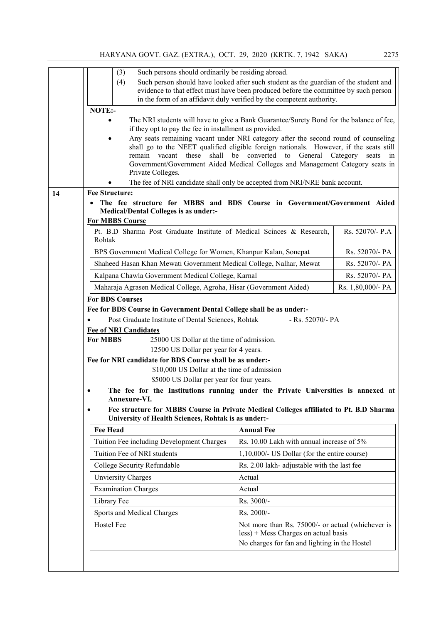| (3)                          | Such persons should ordinarily be residing abroad.                                                      |                                                                                                                                                              |                   |
|------------------------------|---------------------------------------------------------------------------------------------------------|--------------------------------------------------------------------------------------------------------------------------------------------------------------|-------------------|
| (4)                          |                                                                                                         | Such person should have looked after such student as the guardian of the student and                                                                         |                   |
|                              |                                                                                                         | evidence to that effect must have been produced before the committee by such person<br>in the form of an affidavit duly verified by the competent authority. |                   |
| NOTE:-                       |                                                                                                         |                                                                                                                                                              |                   |
|                              |                                                                                                         | The NRI students will have to give a Bank Guarantee/Surety Bond for the balance of fee,                                                                      |                   |
|                              | if they opt to pay the fee in installment as provided.                                                  |                                                                                                                                                              |                   |
|                              |                                                                                                         | Any seats remaining vacant under NRI category after the second round of counseling                                                                           |                   |
|                              |                                                                                                         | shall go to the NEET qualified eligible foreign nationals. However, if the seats still<br>remain vacant these shall be converted to General Category seats   | in                |
|                              |                                                                                                         | Government/Government Aided Medical Colleges and Management Category seats in                                                                                |                   |
|                              | Private Colleges.                                                                                       |                                                                                                                                                              |                   |
|                              |                                                                                                         | The fee of NRI candidate shall only be accepted from NRI/NRE bank account.                                                                                   |                   |
| <b>Fee Structure:</b>        |                                                                                                         |                                                                                                                                                              |                   |
|                              | <b>Medical/Dental Colleges is as under:-</b>                                                            | The fee structure for MBBS and BDS Course in Government/Government Aided                                                                                     |                   |
| <b>For MBBS Course</b>       |                                                                                                         |                                                                                                                                                              |                   |
|                              |                                                                                                         | Pt. B.D Sharma Post Graduate Institute of Medical Scinces & Research,                                                                                        | Rs. 52070/- P.A   |
| Rohtak                       |                                                                                                         |                                                                                                                                                              |                   |
|                              | BPS Government Medical College for Women, Khanpur Kalan, Sonepat                                        |                                                                                                                                                              | Rs. 52070/- PA    |
|                              | Shaheed Hasan Khan Mewati Government Medical College, Nalhar, Mewat                                     |                                                                                                                                                              | Rs. 52070/- PA    |
|                              | Kalpana Chawla Government Medical College, Karnal                                                       |                                                                                                                                                              | Rs. 52070/- PA    |
|                              | Maharaja Agrasen Medical College, Agroha, Hisar (Government Aided)                                      |                                                                                                                                                              | Rs. 1,80,000/- PA |
| <b>For BDS Courses</b>       |                                                                                                         |                                                                                                                                                              |                   |
|                              | Fee for BDS Course in Government Dental College shall be as under:-                                     |                                                                                                                                                              |                   |
|                              | Post Graduate Institute of Dental Sciences, Rohtak                                                      | - Rs. 52070/- PA                                                                                                                                             |                   |
| <b>Fee of NRI Candidates</b> |                                                                                                         |                                                                                                                                                              |                   |
| <b>For MBBS</b>              | 25000 US Dollar at the time of admission.                                                               |                                                                                                                                                              |                   |
|                              | 12500 US Dollar per year for 4 years.                                                                   |                                                                                                                                                              |                   |
|                              | Fee for NRI candidate for BDS Course shall be as under:-<br>\$10,000 US Dollar at the time of admission |                                                                                                                                                              |                   |
|                              | \$5000 US Dollar per year for four years.                                                               |                                                                                                                                                              |                   |
|                              |                                                                                                         |                                                                                                                                                              |                   |
|                              |                                                                                                         |                                                                                                                                                              |                   |
| Annexure-VI.                 |                                                                                                         | The fee for the Institutions running under the Private Universities is annexed at                                                                            |                   |
|                              |                                                                                                         | Fee structure for MBBS Course in Private Medical Colleges affiliated to Pt. B.D Sharma                                                                       |                   |
|                              | University of Health Sciences, Rohtak is as under:-                                                     |                                                                                                                                                              |                   |
| <b>Fee Head</b>              |                                                                                                         | <b>Annual Fee</b>                                                                                                                                            |                   |
|                              | Tuition Fee including Development Charges                                                               | Rs. 10.00 Lakh with annual increase of 5%                                                                                                                    |                   |
| Tuition Fee of NRI students  |                                                                                                         | 1,10,000/- US Dollar (for the entire course)                                                                                                                 |                   |
|                              | College Security Refundable                                                                             | Rs. 2.00 lakh- adjustable with the last fee                                                                                                                  |                   |
| <b>Unviersity Charges</b>    |                                                                                                         | Actual                                                                                                                                                       |                   |
| <b>Examination Charges</b>   |                                                                                                         | Actual                                                                                                                                                       |                   |
|                              |                                                                                                         | Rs. 3000/-                                                                                                                                                   |                   |
| Library Fee                  | Sports and Medical Charges                                                                              | Rs. 2000/-                                                                                                                                                   |                   |
| Hostel Fee                   |                                                                                                         |                                                                                                                                                              |                   |
|                              |                                                                                                         | Not more than Rs. 75000/- or actual (whichever is<br>less) + Mess Charges on actual basis                                                                    |                   |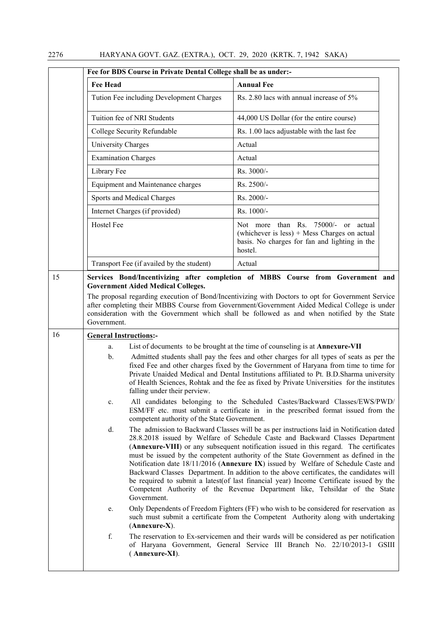|    | Fee for BDS Course in Private Dental College shall be as under:-                                                                                                       |                                                                                                                                                                                                                                                                                                                                                                                                                                                                                                                                                                                                                                                                                                                                                                                                                                                                                                                                                                                                                                                                                                                                                                                                                                                                                                                                                                                                                                                                                                                                                                                                                                 |
|----|------------------------------------------------------------------------------------------------------------------------------------------------------------------------|---------------------------------------------------------------------------------------------------------------------------------------------------------------------------------------------------------------------------------------------------------------------------------------------------------------------------------------------------------------------------------------------------------------------------------------------------------------------------------------------------------------------------------------------------------------------------------------------------------------------------------------------------------------------------------------------------------------------------------------------------------------------------------------------------------------------------------------------------------------------------------------------------------------------------------------------------------------------------------------------------------------------------------------------------------------------------------------------------------------------------------------------------------------------------------------------------------------------------------------------------------------------------------------------------------------------------------------------------------------------------------------------------------------------------------------------------------------------------------------------------------------------------------------------------------------------------------------------------------------------------------|
|    | <b>Fee Head</b>                                                                                                                                                        | <b>Annual Fee</b>                                                                                                                                                                                                                                                                                                                                                                                                                                                                                                                                                                                                                                                                                                                                                                                                                                                                                                                                                                                                                                                                                                                                                                                                                                                                                                                                                                                                                                                                                                                                                                                                               |
|    | Tution Fee including Development Charges                                                                                                                               | Rs. 2.80 lacs with annual increase of 5%                                                                                                                                                                                                                                                                                                                                                                                                                                                                                                                                                                                                                                                                                                                                                                                                                                                                                                                                                                                                                                                                                                                                                                                                                                                                                                                                                                                                                                                                                                                                                                                        |
|    | Tuition fee of NRI Students                                                                                                                                            | 44,000 US Dollar (for the entire course)                                                                                                                                                                                                                                                                                                                                                                                                                                                                                                                                                                                                                                                                                                                                                                                                                                                                                                                                                                                                                                                                                                                                                                                                                                                                                                                                                                                                                                                                                                                                                                                        |
|    | College Security Refundable                                                                                                                                            | Rs. 1.00 lacs adjustable with the last fee                                                                                                                                                                                                                                                                                                                                                                                                                                                                                                                                                                                                                                                                                                                                                                                                                                                                                                                                                                                                                                                                                                                                                                                                                                                                                                                                                                                                                                                                                                                                                                                      |
|    | <b>University Charges</b>                                                                                                                                              | Actual                                                                                                                                                                                                                                                                                                                                                                                                                                                                                                                                                                                                                                                                                                                                                                                                                                                                                                                                                                                                                                                                                                                                                                                                                                                                                                                                                                                                                                                                                                                                                                                                                          |
|    | <b>Examination Charges</b>                                                                                                                                             | Actual                                                                                                                                                                                                                                                                                                                                                                                                                                                                                                                                                                                                                                                                                                                                                                                                                                                                                                                                                                                                                                                                                                                                                                                                                                                                                                                                                                                                                                                                                                                                                                                                                          |
|    | Library Fee                                                                                                                                                            | Rs. 3000/-                                                                                                                                                                                                                                                                                                                                                                                                                                                                                                                                                                                                                                                                                                                                                                                                                                                                                                                                                                                                                                                                                                                                                                                                                                                                                                                                                                                                                                                                                                                                                                                                                      |
|    | Equipment and Maintenance charges                                                                                                                                      | Rs. 2500/-                                                                                                                                                                                                                                                                                                                                                                                                                                                                                                                                                                                                                                                                                                                                                                                                                                                                                                                                                                                                                                                                                                                                                                                                                                                                                                                                                                                                                                                                                                                                                                                                                      |
|    | Sports and Medical Charges                                                                                                                                             | Rs. 2000/-                                                                                                                                                                                                                                                                                                                                                                                                                                                                                                                                                                                                                                                                                                                                                                                                                                                                                                                                                                                                                                                                                                                                                                                                                                                                                                                                                                                                                                                                                                                                                                                                                      |
|    | Internet Charges (if provided)                                                                                                                                         | Rs. 1000/-                                                                                                                                                                                                                                                                                                                                                                                                                                                                                                                                                                                                                                                                                                                                                                                                                                                                                                                                                                                                                                                                                                                                                                                                                                                                                                                                                                                                                                                                                                                                                                                                                      |
|    | Hostel Fee                                                                                                                                                             | than Rs. 75000/- or actual<br>Not more<br>(whichever is less) $+$ Mess Charges on actual<br>basis. No charges for fan and lighting in the<br>hostel.                                                                                                                                                                                                                                                                                                                                                                                                                                                                                                                                                                                                                                                                                                                                                                                                                                                                                                                                                                                                                                                                                                                                                                                                                                                                                                                                                                                                                                                                            |
|    | Transport Fee (if availed by the student)                                                                                                                              | Actual                                                                                                                                                                                                                                                                                                                                                                                                                                                                                                                                                                                                                                                                                                                                                                                                                                                                                                                                                                                                                                                                                                                                                                                                                                                                                                                                                                                                                                                                                                                                                                                                                          |
| 15 | <b>Government Aided Medical Colleges.</b><br>Government.                                                                                                               | Services Bond/Incentivizing after completion of MBBS Course from Government and<br>The proposal regarding execution of Bond/Incentivizing with Doctors to opt for Government Service<br>after completing their MBBS Course from Government/Government Aided Medical College is under<br>consideration with the Government which shall be followed as and when notified by the State                                                                                                                                                                                                                                                                                                                                                                                                                                                                                                                                                                                                                                                                                                                                                                                                                                                                                                                                                                                                                                                                                                                                                                                                                                             |
| 16 | <b>General Instructions:-</b>                                                                                                                                          |                                                                                                                                                                                                                                                                                                                                                                                                                                                                                                                                                                                                                                                                                                                                                                                                                                                                                                                                                                                                                                                                                                                                                                                                                                                                                                                                                                                                                                                                                                                                                                                                                                 |
|    | a.<br>$\mathbf b$ .<br>falling under their perview.<br>$c_{\cdot}$<br>competent authority of the State Government.<br>d.<br>Government.<br>e.<br>$(Annexure-X).$<br>f. | List of documents to be brought at the time of counseling is at Annexure-VII<br>Admitted students shall pay the fees and other charges for all types of seats as per the<br>fixed Fee and other charges fixed by the Government of Haryana from time to time for<br>Private Unaided Medical and Dental Institutions affiliated to Pt. B.D.Sharma university<br>of Health Sciences, Rohtak and the fee as fixed by Private Universities for the institutes<br>All candidates belonging to the Scheduled Castes/Backward Classes/EWS/PWD/<br>ESM/FF etc. must submit a certificate in in the prescribed format issued from the<br>The admission to Backward Classes will be as per instructions laid in Notification dated<br>28.8.2018 issued by Welfare of Schedule Caste and Backward Classes Department<br>(Annexure-VIII) or any subsequent notification issued in this regard. The certificates<br>must be issued by the competent authority of the State Government as defined in the<br>Notification date 18/11/2016 (Annexure IX) issued by Welfare of Schedule Caste and<br>Backward Classes Department. In addition to the above certificates, the candidates will<br>be required to submit a latest (of last financial year) Income Certificate issued by the<br>Competent Authority of the Revenue Department like, Tehsildar of the State<br>Only Dependents of Freedom Fighters (FF) who wish to be considered for reservation as<br>such must submit a certificate from the Competent Authority along with undertaking<br>The reservation to Ex-servicemen and their wards will be considered as per notification |
|    | (Annexure-XI).                                                                                                                                                         | of Haryana Government, General Service III Branch No. 22/10/2013-1 GSIII                                                                                                                                                                                                                                                                                                                                                                                                                                                                                                                                                                                                                                                                                                                                                                                                                                                                                                                                                                                                                                                                                                                                                                                                                                                                                                                                                                                                                                                                                                                                                        |

 $\mathsf{l}$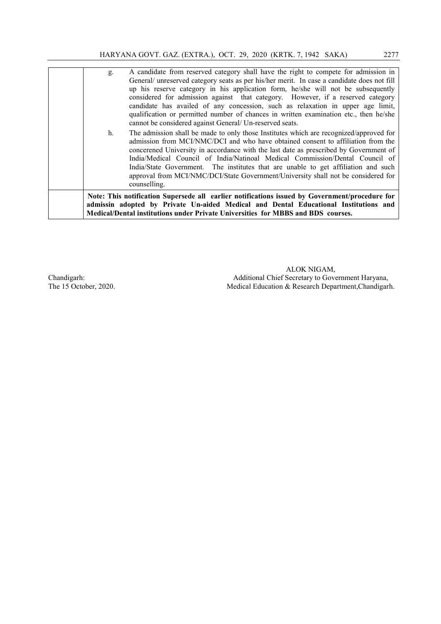| g.<br>h. | A candidate from reserved category shall have the right to compete for admission in<br>General/ unreserved category seats as per his/her merit. In case a candidate does not fill<br>up his reserve category in his application form, he/she will not be subsequently<br>considered for admission against that category. However, if a reserved category<br>candidate has availed of any concession, such as relaxation in upper age limit,<br>qualification or permitted number of chances in written examination etc., then he/she<br>cannot be considered against General/ Un-reserved seats.<br>The admission shall be made to only those Institutes which are recognized/approved for<br>admission from MCI/NMC/DCI and who have obtained consent to affiliation from the<br>concerened University in accordance with the last date as prescribed by Government of<br>India/Medical Council of India/Natinoal Medical Commission/Dental Council of<br>India/State Government. The institutes that are unable to get affiliation and such<br>approval from MCI/NMC/DCI/State Government/University shall not be considered for |
|----------|------------------------------------------------------------------------------------------------------------------------------------------------------------------------------------------------------------------------------------------------------------------------------------------------------------------------------------------------------------------------------------------------------------------------------------------------------------------------------------------------------------------------------------------------------------------------------------------------------------------------------------------------------------------------------------------------------------------------------------------------------------------------------------------------------------------------------------------------------------------------------------------------------------------------------------------------------------------------------------------------------------------------------------------------------------------------------------------------------------------------------------|
|          | counselling.                                                                                                                                                                                                                                                                                                                                                                                                                                                                                                                                                                                                                                                                                                                                                                                                                                                                                                                                                                                                                                                                                                                       |
|          | Note: This notification Supersede all earlier notifications issued by Government/procedure for<br>admissin adopted by Private Un-aided Medical and Dental Educational Institutions and<br>Medical/Dental institutions under Private Universities for MBBS and BDS courses.                                                                                                                                                                                                                                                                                                                                                                                                                                                                                                                                                                                                                                                                                                                                                                                                                                                         |

ALOK NIGAM, Chandigarh: Additional Chief Secretary to Government Haryana,<br>The 15 October, 2020. Medical Education & Research Department, Chandigar Medical Education & Research Department, Chandigarh.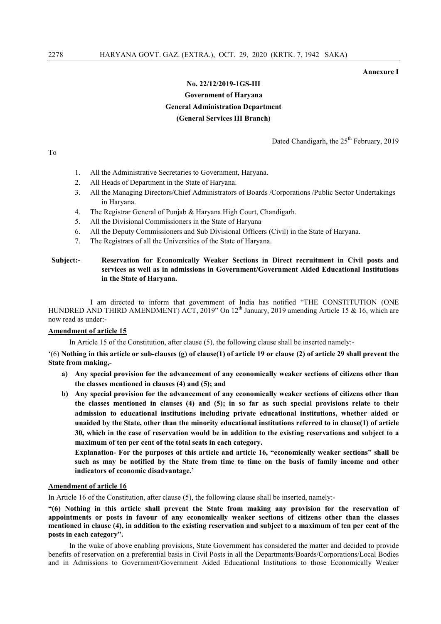Annexure I

## No. 22/12/2019-1GS-III Government of Haryana General Administration Department (General Services III Branch)

Dated Chandigarh, the 25<sup>th</sup> February, 2019

To

- 1. All the Administrative Secretaries to Government, Haryana.
- 2. All Heads of Department in the State of Haryana.
- 3. All the Managing Directors/Chief Administrators of Boards /Corporations /Public Sector Undertakings in Haryana.
- 4. The Registrar General of Punjab & Haryana High Court, Chandigarh.
- 5. All the Divisional Commissioners in the State of Haryana
- 6. All the Deputy Commissioners and Sub Divisional Officers (Civil) in the State of Haryana.
- 7. The Registrars of all the Universities of the State of Haryana.

Subject:- Reservation for Economically Weaker Sections in Direct recruitment in Civil posts and services as well as in admissions in Government/Government Aided Educational Institutions in the State of Haryana.

I am directed to inform that government of India has notified "THE CONSTITUTION (ONE HUNDRED AND THIRD AMENDMENT) ACT, 2019" On 12<sup>th</sup> January, 2019 amending Article 15 & 16, which are now read as under:-

## Amendment of article 15

In Article 15 of the Constitution, after clause (5), the following clause shall be inserted namely:-

 $(6)$  Nothing in this article or sub-clauses (g) of clause(1) of article 19 or clause (2) of article 29 shall prevent the State from making,-

- a) Any special provision for the advancement of any economically weaker sections of citizens other than the classes mentioned in clauses (4) and (5); and
- b) Any special provision for the advancement of any economically weaker sections of citizens other than the classes mentioned in clauses (4) and (5); in so far as such special provisions relate to their admission to educational institutions including private educational institutions, whether aided or unaided by the State, other than the minority educational institutions referred to in clause(1) of article 30, which in the case of reservation would be in addition to the existing reservations and subject to a maximum of ten per cent of the total seats in each category.

Explanation- For the purposes of this article and article 16, "economically weaker sections" shall be such as may be notified by the State from time to time on the basis of family income and other indicators of economic disadvantage.'

## Amendment of article 16

In Article 16 of the Constitution, after clause (5), the following clause shall be inserted, namely:-

"(6) Nothing in this article shall prevent the State from making any provision for the reservation of appointments or posts in favour of any economically weaker sections of citizens other than the classes mentioned in clause (4), in addition to the existing reservation and subject to a maximum of ten per cent of the posts in each category".

In the wake of above enabling provisions, State Government has considered the matter and decided to provide benefits of reservation on a preferential basis in Civil Posts in all the Departments/Boards/Corporations/Local Bodies and in Admissions to Government/Government Aided Educational Institutions to those Economically Weaker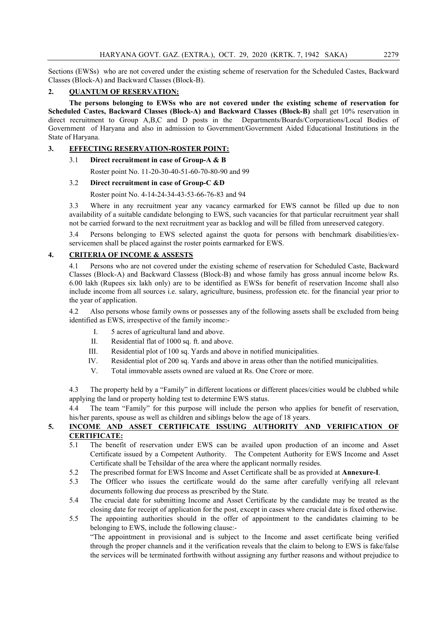Sections (EWSs) who are not covered under the existing scheme of reservation for the Scheduled Castes, Backward Classes (Block-A) and Backward Classes (Block-B).

## 2. QUANTUM OF RESERVATION:

The persons belonging to EWSs who are not covered under the existing scheme of reservation for Scheduled Castes, Backward Classes (Block-A) and Backward Classes (Block-B) shall get 10% reservation in direct recruitment to Group A,B,C and D posts in the Departments/Boards/Corporations/Local Bodies of Government of Haryana and also in admission to Government/Government Aided Educational Institutions in the State of Haryana.

## 3. EFFECTING RESERVATION-ROSTER POINT:

## 3.1 Direct recruitment in case of Group-A & B

Roster point No. 11-20-30-40-51-60-70-80-90 and 99

## 3.2 Direct recruitment in case of Group-C &D

## Roster point No. 4-14-24-34-43-53-66-76-83 and 94

3.3 Where in any recruitment year any vacancy earmarked for EWS cannot be filled up due to non availability of a suitable candidate belonging to EWS, such vacancies for that particular recruitment year shall not be carried forward to the next recruitment year as backlog and will be filled from unreserved category.

3.4 Persons belonging to EWS selected against the quota for persons with benchmark disabilities/exservicemen shall be placed against the roster points earmarked for EWS.

## 4. CRITERIA OF INCOME & ASSESTS

4.1 Persons who are not covered under the existing scheme of reservation for Scheduled Caste, Backward Classes (Block-A) and Backward Classess (Block-B) and whose family has gross annual income below Rs. 6.00 lakh (Rupees six lakh only) are to be identified as EWSs for benefit of reservation Income shall also include income from all sources i.e. salary, agriculture, business, profession etc. for the financial year prior to the year of application.

4.2 Also persons whose family owns or possesses any of the following assets shall be excluded from being identified as EWS, irrespective of the family income:-

- I. 5 acres of agricultural land and above.
- II. Residential flat of 1000 sq. ft. and above.
- III. Residential plot of 100 sq. Yards and above in notified municipalities.
- IV. Residential plot of 200 sq. Yards and above in areas other than the notified municipalities.
- V. Total immovable assets owned are valued at Rs. One Crore or more.

4.3 The property held by a "Family" in different locations or different places/cities would be clubbed while applying the land or property holding test to determine EWS status.

4.4 The team "Family" for this purpose will include the person who applies for benefit of reservation, his/her parents, spouse as well as children and siblings below the age of 18 years.

## 5. INCOME AND ASSET CERTIFICATE ISSUING AUTHORITY AND VERIFICATION OF CERTIFICATE:

- 5.1 The benefit of reservation under EWS can be availed upon production of an income and Asset Certificate issued by a Competent Authority. The Competent Authority for EWS Income and Asset Certificate shall be Tehsildar of the area where the applicant normally resides.
- 5.2 The prescribed format for EWS Income and Asset Certificate shall be as provided at Annexure-I.
- 5.3 The Officer who issues the certificate would do the same after carefully verifying all relevant documents following due process as prescribed by the State.
- 5.4 The crucial date for submitting Income and Asset Certificate by the candidate may be treated as the closing date for receipt of application for the post, except in cases where crucial date is fixed otherwise.
- 5.5 The appointing authorities should in the offer of appointment to the candidates claiming to be belonging to EWS, include the following clause:-

"The appointment in provisional and is subject to the Income and asset certificate being verified through the proper channels and it the verification reveals that the claim to belong to EWS is fake/false the services will be terminated forthwith without assigning any further reasons and without prejudice to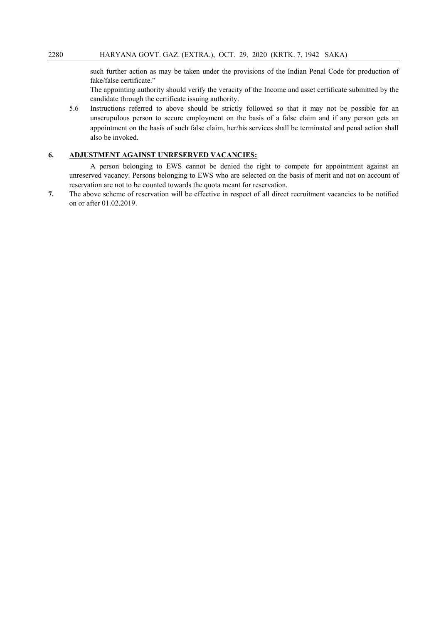such further action as may be taken under the provisions of the Indian Penal Code for production of fake/false certificate."

The appointing authority should verify the veracity of the Income and asset certificate submitted by the candidate through the certificate issuing authority.

5.6 Instructions referred to above should be strictly followed so that it may not be possible for an unscrupulous person to secure employment on the basis of a false claim and if any person gets an appointment on the basis of such false claim, her/his services shall be terminated and penal action shall also be invoked.

## 6. ADJUSTMENT AGAINST UNRESERVED VACANCIES:

A person belonging to EWS cannot be denied the right to compete for appointment against an unreserved vacancy. Persons belonging to EWS who are selected on the basis of merit and not on account of reservation are not to be counted towards the quota meant for reservation.

7. The above scheme of reservation will be effective in respect of all direct recruitment vacancies to be notified on or after 01.02.2019.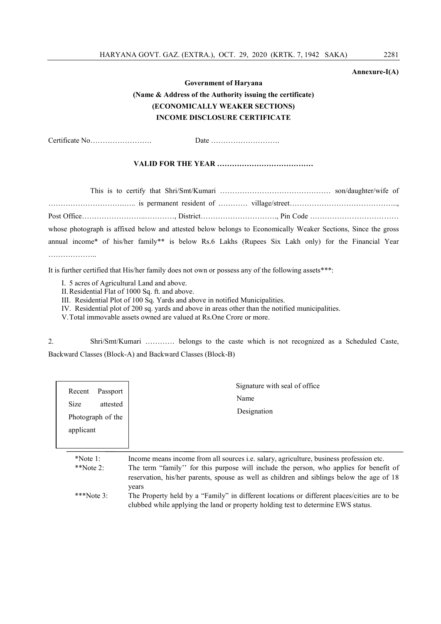## Annexure-I(A)

## Government of Haryana (Name & Address of the Authority issuing the certificate) (ECONOMICALLY WEAKER SECTIONS) INCOME DISCLOSURE CERTIFICATE

Certificate No……………………. Date ……………………….

## VALID FOR THE YEAR …………………………………

This is to certify that Shri/Smt/Kumari ……………………………………… son/daughter/wife of ………………………….….. is permanent resident of ………… village/street…………………………………….., Post Office……………………..…………, District…………………………., Pin Code ……………………………… whose photograph is affixed below and attested below belongs to Economically Weaker Sections, Since the gross annual income\* of his/her family\*\* is below Rs.6 Lakhs (Rupees Six Lakh only) for the Financial Year ……………………

It is further certified that His/her family does not own or possess any of the following assets\*\*\*:

- I. 5 acres of Agricultural Land and above.
- II.Residential Flat of 1000 Sq. ft. and above.
- III. Residential Plot of 100 Sq. Yards and above in notified Municipalities.
- IV. Residential plot of 200 sq. yards and above in areas other than the notified municipalities.
- V.Total immovable assets owned are valued at Rs.One Crore or more.

2. Shri/Smt/Kumari ………… belongs to the caste which is not recognized as a Scheduled Caste, Backward Classes (Block-A) and Backward Classes (Block-B)

| Recent<br>Passport<br><b>Size</b><br>attested<br>Photograph of the<br>applicant | Signature with seal of office<br>Name<br>Designation                                                                                                                                                                                                                                           |
|---------------------------------------------------------------------------------|------------------------------------------------------------------------------------------------------------------------------------------------------------------------------------------------------------------------------------------------------------------------------------------------|
| $*Note 1:$<br>**Note $2:$                                                       | Income means income from all sources <i>i.e.</i> salary, agriculture, business profession etc.<br>The term "family" for this purpose will include the person, who applies for benefit of<br>reservation, his/her parents, spouse as well as children and siblings below the age of 18<br>years |
| ***Note $3:$                                                                    | The Property held by a "Family" in different locations or different places/cities are to be<br>clubbed while applying the land or property holding test to determine EWS status.                                                                                                               |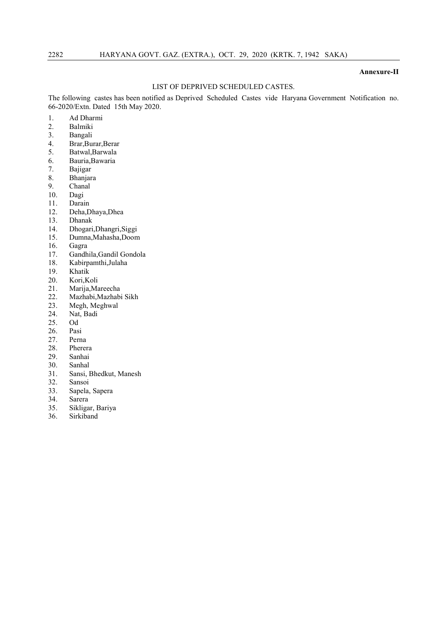#### Annexure-II

## LIST OF DEPRIVED SCHEDULED CASTES.

The following castes has been notified as Deprived Scheduled Castes vide Haryana Government Notification no. 66-2020/Extn. Dated 15th May 2020.

- 1. Ad Dharmi<br>2. Balmiki
- 2. Balmiki
- 3. Bangali
- 4. Brar,Burar,Berar
- Batwal, Barwala
- 6. Bauria,Bawaria
- 7. Bajigar
- **Bhanjara**
- 9. Chanal
- 10. Dagi
- 11. Darain
- 12. Deha,Dhaya,Dhea
- 13. Dhanak
- 14. Dhogari,Dhangri,Siggi
- 15. Dumna,Mahasha,Doom
- 16. Gagra<br>17. Gandh
- 17. Gandhila, Gandil Gondola<br>18. Kabirpamthi, Julaha
- 18. Kabirpamthi,Julaha
- 19. Khatik<br>20. Kori, K
- Kori, Koli
- 21. Marija,Mareecha
- 22. Mazhabi, Mazhabi Sikh<br>23. Megh, Meghwal
- Megh, Meghwal
- 24. Nat, Badi
- 25. Od<br>26 Pas
- 26. Pasi<br>27. Pern
- Perna
- 28. Pherera<br>29. Sanhai
- Sanhai
- 30. Sanhal
- 31. Sansi, Bhedkut, Manesh
- 32. Sansoi
- 33. Sapela, Sapera
- 34. Sarera
- 35. Sikligar, Bariya
- 36. Sirkiband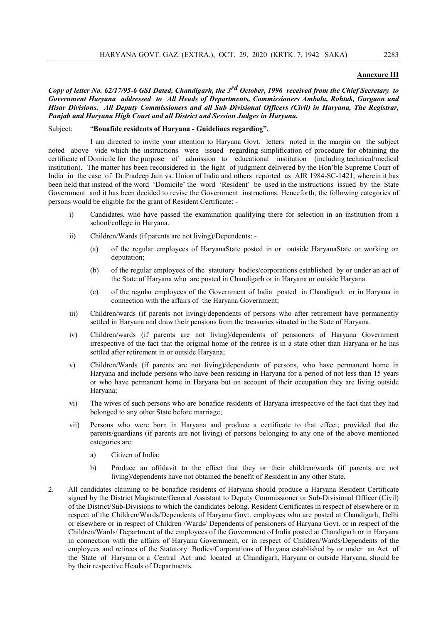## Annexure III

*Copy of letter No. 62/17/95-6 GSI Dated, Chandigarh, the 3rd October, 1996 received from the Chief Secretary to Government Haryana addressed to All Heads of Departments, Commissioners Ambala, Rohtak, Gurgaon and Hisar Divisions, All Deputy Commissioners and all Sub Divisional Officers (Civil) in Haryana, The Registrar, Punjab and Haryana High Court and all District and Session Judges in Haryana.*

#### Subject: "Bonafide residents of Haryana - Guidelines regarding".

I am directed to invite your attention to Haryana Govt. letters noted in the margin on the subject noted above vide which the instructions were issued regarding simplification of procedure for obtaining the certificate of Domicile for the purpose of admission to educational institution (including technical/medical institution). The matter has been reconsidered in the light of judgment delivered by the Hon'ble Supreme Court of India in the case of Dr.Pradeep Jain vs. Union of India and others reported as AIR 1984-SC-1421, wherein it has been held that instead of the word 'Domicile' the word 'Resident' be used in the instructions issued by the State Government and it has been decided to revise the Government instructions. Henceforth, the following categories of persons would be eligible for the grant of Resident Certificate: -

- i) Candidates, who have passed the examination qualifying there for selection in an institution from a school/college in Haryana.
- ii) Children/Wards (if parents are not living)/Dependents:
	- (a) of the regular employees of HaryanaState posted in or outside HaryanaState or working on deputation;
	- (b) of the regular employees of the statutory bodies/corporations established by or under an act of the State of Haryana who are posted in Chandigarh or in Haryana or outside Haryana.
	- (c) of the regular employees of the Government of India posted in Chandigarh or in Haryana in connection with the affairs of the Haryana Government;
- iii) Children/wards (if parents not living)/dependents of persons who after retirement have permanently settled in Haryana and draw their pensions from the treasuries situated in the State of Haryana.
- iv) Children/wards (if parents are not living)/dependents of pensioners of Haryana Government irrespective of the fact that the original home of the retiree is in a state other than Haryana or he has settled after retirement in or outside Haryana;
- v) Children/Wards (if parents are not living)/dependents of persons, who have permanent home in Haryana and include persons who have been residing in Haryana for a period of not less than 15 years or who have permanent home in Haryana but on account of their occupation they are living outside Haryana;
- vi) The wives of such persons who are bonafide residents of Haryana irrespective of the fact that they had belonged to any other State before marriage;
- vii) Persons who were born in Haryana and produce a certificate to that effect; provided that the parents/guardians (if parents are not living) of persons belonging to any one of the above mentioned categories are:
	- a) Citizen of India;
	- b) Produce an affidavit to the effect that they or their children/wards (if parents are not living)/dependents have not obtained the benefit of Resident in any other State.
- 2. All candidates claiming to be bonafide residents of Haryana should produce a Haryana Resident Certificate signed by the District Magistrate/General Assistant to Deputy Commissioner or Sub-Divisional Officer (Civil) of the District/Sub-Divisions to which the candidates belong. Resident Certificates in respect of elsewhere or in respect of the Children/Wards/Dependents of Haryana Govt. employees who are posted at Chandigarh, Delhi or elsewhere or in respect of Children /Wards/ Dependents of pensioners of Haryana Govt. or in respect of the Children/Wards/ Department of the employees of the Government of India posted at Chandigarh or in Haryana in connection with the affairs of Haryana Government, or in respect of Children/Wards/Dependents of the employees and retirees of the Statutory Bodies/Corporations of Haryana established by or under an Act of the State of Haryana or a Central Act and located at Chandigarh, Haryana or outside Haryana, should be by their respective Heads of Departments.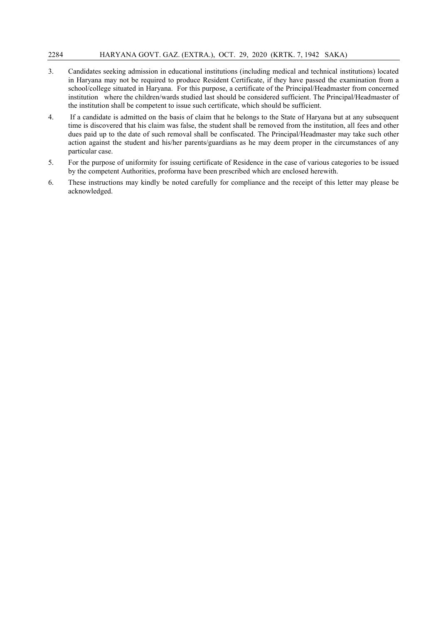- 3. Candidates seeking admission in educational institutions (including medical and technical institutions) located in Haryana may not be required to produce Resident Certificate, if they have passed the examination from a school/college situated in Haryana. For this purpose, a certificate of the Principal/Headmaster from concerned institution where the children/wards studied last should be considered sufficient. The Principal/Headmaster of the institution shall be competent to issue such certificate, which should be sufficient.
- 4. If a candidate is admitted on the basis of claim that he belongs to the State of Haryana but at any subsequent time is discovered that his claim was false, the student shall be removed from the institution, all fees and other dues paid up to the date of such removal shall be confiscated. The Principal/Headmaster may take such other action against the student and his/her parents/guardians as he may deem proper in the circumstances of any particular case.
- 5. For the purpose of uniformity for issuing certificate of Residence in the case of various categories to be issued by the competent Authorities, proforma have been prescribed which are enclosed herewith.
- 6. These instructions may kindly be noted carefully for compliance and the receipt of this letter may please be acknowledged.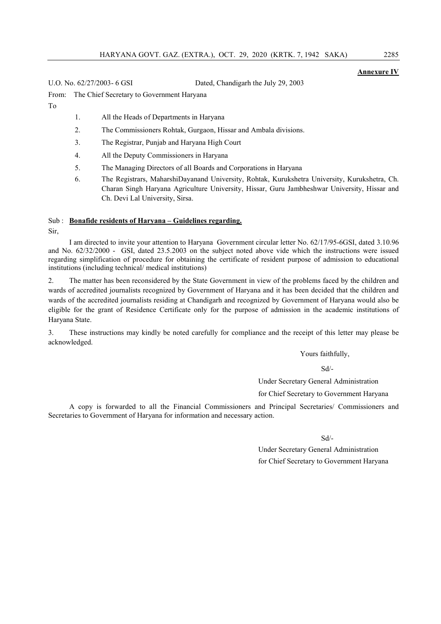## Annexure IV

U.O. No. 62/27/2003- 6 GSI Dated, Chandigarh the July 29, 2003

From: The Chief Secretary to Government Haryana

To

1. All the Heads of Departments in Haryana

- 2. The Commissioners Rohtak, Gurgaon, Hissar and Ambala divisions.
- 3. The Registrar, Punjab and Haryana High Court
- 4. All the Deputy Commissioners in Haryana
- 5. The Managing Directors of all Boards and Corporations in Haryana
- 6. The Registrars, MaharshiDayanand University, Rohtak, Kurukshetra University, Kurukshetra, Ch. Charan Singh Haryana Agriculture University, Hissar, Guru Jambheshwar University, Hissar and Ch. Devi Lal University, Sirsa.

## Sub : Bonafide residents of Haryana - Guidelines regarding.

Sir,

I am directed to invite your attention to Haryana Government circular letter No. 62/17/95-6GSI, dated 3.10.96 and No. 62/32/2000 - GSI, dated 23.5.2003 on the subject noted above vide which the instructions were issued regarding simplification of procedure for obtaining the certificate of resident purpose of admission to educational institutions (including technical/ medical institutions)

2. The matter has been reconsidered by the State Government in view of the problems faced by the children and wards of accredited journalists recognized by Government of Haryana and it has been decided that the children and wards of the accredited journalists residing at Chandigarh and recognized by Government of Haryana would also be eligible for the grant of Residence Certificate only for the purpose of admission in the academic institutions of Haryana State.

3. These instructions may kindly be noted carefully for compliance and the receipt of this letter may please be acknowledged.

Yours faithfully,

Sd/-

Under Secretary General Administration

for Chief Secretary to Government Haryana

A copy is forwarded to all the Financial Commissioners and Principal Secretaries/ Commissioners and Secretaries to Government of Haryana for information and necessary action.

Sd/-

Under Secretary General Administration for Chief Secretary to Government Haryana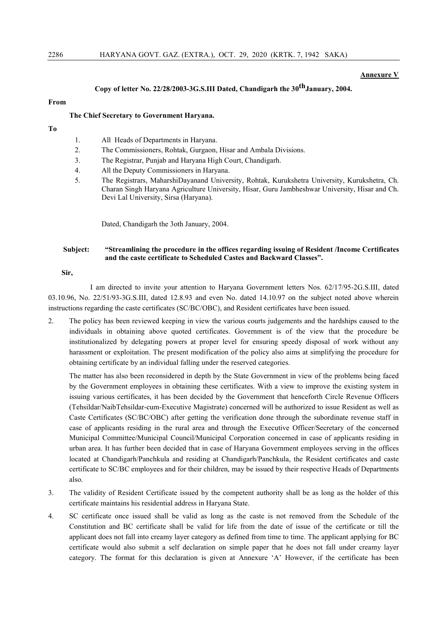#### Annexure V

## Copy of letter No. 22/28/2003-3G.S.III Dated, Chandigarh the 30thJanuary, 2004.

## From

#### The Chief Secretary to Government Haryana.

- To
- 1. All Heads of Departments in Haryana.
- 2. The Commissioners, Rohtak, Gurgaon, Hisar and Ambala Divisions.
- 3. The Registrar, Punjab and Haryana High Court, Chandigarh.
- 4. All the Deputy Commissioners in Haryana.
- 5. The Registrars, MaharshiDayanand University, Rohtak, Kurukshetra University, Kurukshetra, Ch. Charan Singh Haryana Agriculture University, Hisar, Guru Jambheshwar University, Hisar and Ch. Devi Lal University, Sirsa (Haryana).

Dated, Chandigarh the 3oth January, 2004.

## Subject: "Streamlining the procedure in the offices regarding issuing of Resident /Income Certificates and the caste certificate to Scheduled Castes and Backward Classes".

## Sir,

I am directed to invite your attention to Haryana Government letters Nos. 62/17/95-2G.S.III, dated 03.10.96, No. 22/51/93-3G.S.III, dated 12.8.93 and even No. dated 14.10.97 on the subject noted above wherein instructions regarding the caste certificates (SC/BC/OBC), and Resident certificates have been issued.

2. The policy has been reviewed keeping in view the various courts judgements and the hardships caused to the individuals in obtaining above quoted certificates. Government is of the view that the procedure be institutionalized by delegating powers at proper level for ensuring speedy disposal of work without any harassment or exploitation. The present modification of the policy also aims at simplifying the procedure for obtaining certificate by an individual falling under the reserved categories.

The matter has also been reconsidered in depth by the State Government in view of the problems being faced by the Government employees in obtaining these certificates. With a view to improve the existing system in issuing various certificates, it has been decided by the Government that henceforth Circle Revenue Officers (Tehsildar/NaibTehsildar-cum-Executive Magistrate) concerned will be authorized to issue Resident as well as Caste Certificates (SC/BC/OBC) after getting the verification done through the subordinate revenue staff in case of applicants residing in the rural area and through the Executive Officer/Secretary of the concerned Municipal Committee/Municipal Council/Municipal Corporation concerned in case of applicants residing in urban area. It has further been decided that in case of Haryana Government employees serving in the offices located at Chandigarh/Panchkula and residing at Chandigarh/Panchkula, the Resident certificates and caste certificate to SC/BC employees and for their children, may be issued by their respective Heads of Departments also.

- 3. The validity of Resident Certificate issued by the competent authority shall be as long as the holder of this certificate maintains his residential address in Haryana State.
- 4. SC certificate once issued shall be valid as long as the caste is not removed from the Schedule of the Constitution and BC certificate shall be valid for life from the date of issue of the certificate or till the applicant does not fall into creamy layer category as defined from time to time. The applicant applying for BC certificate would also submit a self declaration on simple paper that he does not fall under creamy layer category. The format for this declaration is given at Annexure 'A' However, if the certificate has been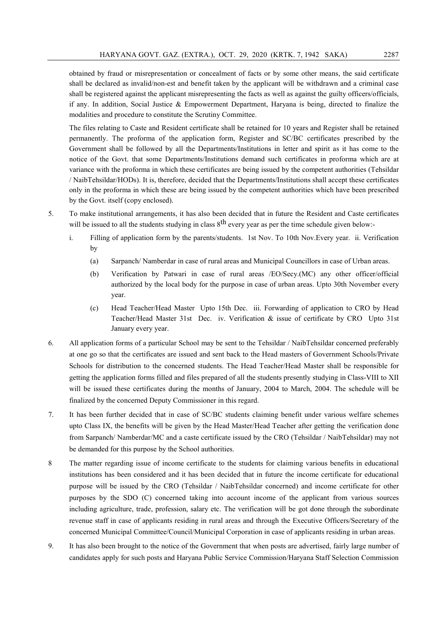obtained by fraud or misrepresentation or concealment of facts or by some other means, the said certificate shall be declared as invalid/non-est and benefit taken by the applicant will be withdrawn and a criminal case shall be registered against the applicant misrepresenting the facts as well as against the guilty officers/officials, if any. In addition, Social Justice & Empowerment Department, Haryana is being, directed to finalize the modalities and procedure to constitute the Scrutiny Committee.

The files relating to Caste and Resident certificate shall be retained for 10 years and Register shall be retained permanently. The proforma of the application form, Register and SC/BC certificates prescribed by the Government shall be followed by all the Departments/Institutions in letter and spirit as it has come to the notice of the Govt. that some Departments/Institutions demand such certificates in proforma which are at variance with the proforma in which these certificates are being issued by the competent authorities (Tehsildar / NaibTehsildar/HODs). It is, therefore, decided that the Departments/Institutions shall accept these certificates only in the proforma in which these are being issued by the competent authorities which have been prescribed by the Govt. itself (copy enclosed).

- 5. To make institutional arrangements, it has also been decided that in future the Resident and Caste certificates will be issued to all the students studying in class  $8<sup>th</sup>$  every year as per the time schedule given below:
	- i. Filling of application form by the parents/students. 1st Nov. To 10th Nov.Every year. ii. Verification by
		- (a) Sarpanch/ Namberdar in case of rural areas and Municipal Councillors in case of Urban areas.
		- (b) Verification by Patwari in case of rural areas /EO/Secy.(MC) any other officer/official authorized by the local body for the purpose in case of urban areas. Upto 30th November every year.
		- (c) Head Teacher/Head Master Upto 15th Dec. iii. Forwarding of application to CRO by Head Teacher/Head Master 31st Dec. iv. Verification & issue of certificate by CRO Upto 31st January every year.
- 6. All application forms of a particular School may be sent to the Tehsildar / NaibTehsildar concerned preferably at one go so that the certificates are issued and sent back to the Head masters of Government Schools/Private Schools for distribution to the concerned students. The Head Teacher/Head Master shall be responsible for getting the application forms filled and files prepared of all the students presently studying in Class-VIII to XII will be issued these certificates during the months of January, 2004 to March, 2004. The schedule will be finalized by the concerned Deputy Commissioner in this regard.
- 7. It has been further decided that in case of SC/BC students claiming benefit under various welfare schemes upto Class IX, the benefits will be given by the Head Master/Head Teacher after getting the verification done from Sarpanch/ Namberdar/MC and a caste certificate issued by the CRO (Tehsildar / NaibTehsildar) may not be demanded for this purpose by the School authorities.
- 8 The matter regarding issue of income certificate to the students for claiming various benefits in educational institutions has been considered and it has been decided that in future the income certificate for educational purpose will be issued by the CRO (Tehsildar / NaibTehsildar concerned) and income certificate for other purposes by the SDO (C) concerned taking into account income of the applicant from various sources including agriculture, trade, profession, salary etc. The verification will be got done through the subordinate revenue staff in case of applicants residing in rural areas and through the Executive Officers/Secretary of the concerned Municipal Committee/Council/Municipal Corporation in case of applicants residing in urban areas.
- 9. It has also been brought to the notice of the Government that when posts are advertised, fairly large number of candidates apply for such posts and Haryana Public Service Commission/Haryana Staff Selection Commission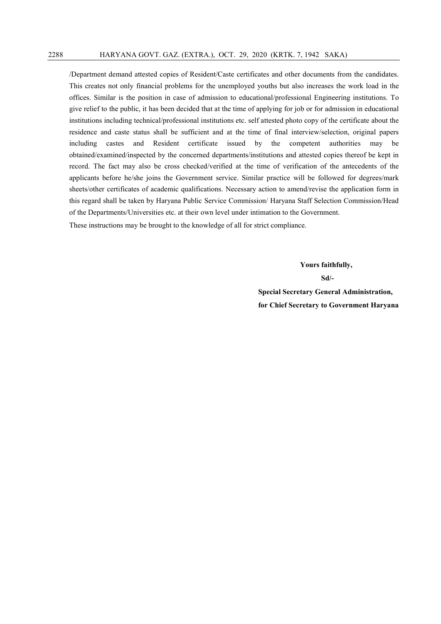/Department demand attested copies of Resident/Caste certificates and other documents from the candidates. This creates not only financial problems for the unemployed youths but also increases the work load in the offices. Similar is the position in case of admission to educational/professional Engineering institutions. To give relief to the public, it has been decided that at the time of applying for job or for admission in educational institutions including technical/professional institutions etc. self attested photo copy of the certificate about the residence and caste status shall be sufficient and at the time of final interview/selection, original papers including castes and Resident certificate issued by the competent authorities may be obtained/examined/inspected by the concerned departments/institutions and attested copies thereof be kept in record. The fact may also be cross checked/verified at the time of verification of the antecedents of the applicants before he/she joins the Government service. Similar practice will be followed for degrees/mark sheets/other certificates of academic qualifications. Necessary action to amend/revise the application form in this regard shall be taken by Haryana Public Service Commission/ Haryana Staff Selection Commission/Head of the Departments/Universities etc. at their own level under intimation to the Government.

These instructions may be brought to the knowledge of all for strict compliance.

Yours faithfully, Sd/- Special Secretary General Administration, for Chief Secretary to Government Haryana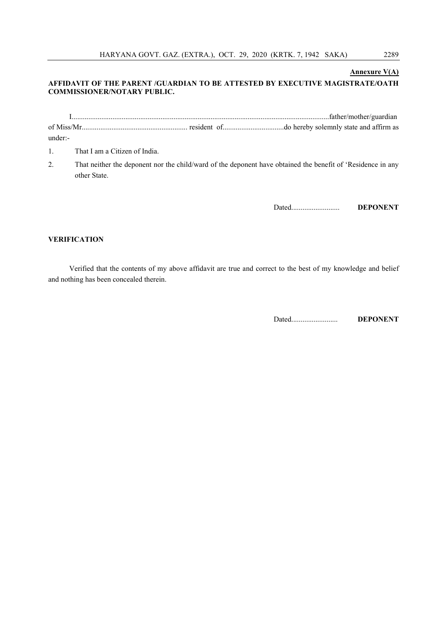### Annexure V(A)

## AFFIDAVIT OF THE PARENT /GUARDIAN TO BE ATTESTED BY EXECUTIVE MAGISTRATE/OATH COMMISSIONER/NOTARY PUBLIC.

I...........................................................................................................................................father/mother/guardian of Miss/Mr......................................................... resident of.................................do hereby solemnly state and affirm as under:-

- 1. That I am a Citizen of India.
- 2. That neither the deponent nor the child/ward of the deponent have obtained the benefit of 'Residence in any other State.

Dated.......................... DEPONENT

## VERIFICATION

Verified that the contents of my above affidavit are true and correct to the best of my knowledge and belief and nothing has been concealed therein.

Dated......................... DEPONENT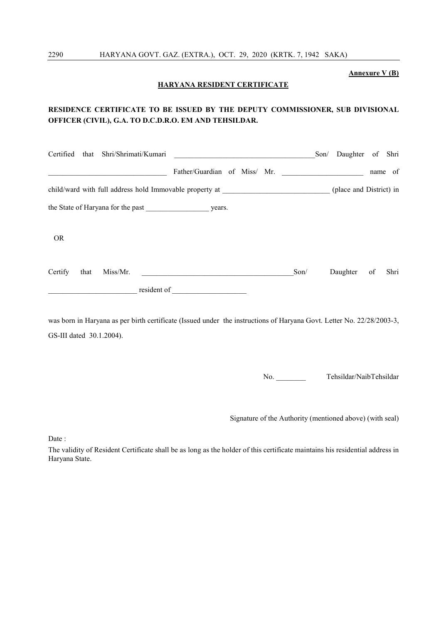## Annexure V (B)

## HARYANA RESIDENT CERTIFICATE

## RESIDENCE CERTIFICATE TO BE ISSUED BY THE DEPUTY COMMISSIONER, SUB DIVISIONAL OFFICER (CIVIL), G.A. TO D.C.D.R.O. EM AND TEHSILDAR.

|           |      | Certified that Shri/Shrimati/Kumari | <u> 1989 - Johann Stein, mars and de Britannich (b. 1989)</u>                                                                                                                                                                  |      | Daughter of Shri<br>Son/ |    |         |
|-----------|------|-------------------------------------|--------------------------------------------------------------------------------------------------------------------------------------------------------------------------------------------------------------------------------|------|--------------------------|----|---------|
|           |      |                                     | Father/Guardian of Miss/ Mr.                                                                                                                                                                                                   |      |                          |    | name of |
|           |      |                                     | child/ward with full address hold Immovable property at _________________________                                                                                                                                              |      | (place and District) in  |    |         |
|           |      |                                     |                                                                                                                                                                                                                                |      |                          |    |         |
| <b>OR</b> |      |                                     |                                                                                                                                                                                                                                |      |                          |    |         |
| Certify   | that | Miss/Mr.                            |                                                                                                                                                                                                                                | Son/ | Daughter                 | of | Shri    |
|           |      |                                     | resident of the contract of the contract of the contract of the contract of the contract of the contract of the contract of the contract of the contract of the contract of the contract of the contract of the contract of th |      |                          |    |         |

was born in Haryana as per birth certificate (Issued under the instructions of Haryana Govt. Letter No. 22/28/2003-3, GS-III dated 30.1.2004).

No. Tehsildar/NaibTehsildar

Signature of the Authority (mentioned above) (with seal)

Date :

The validity of Resident Certificate shall be as long as the holder of this certificate maintains his residential address in Haryana State.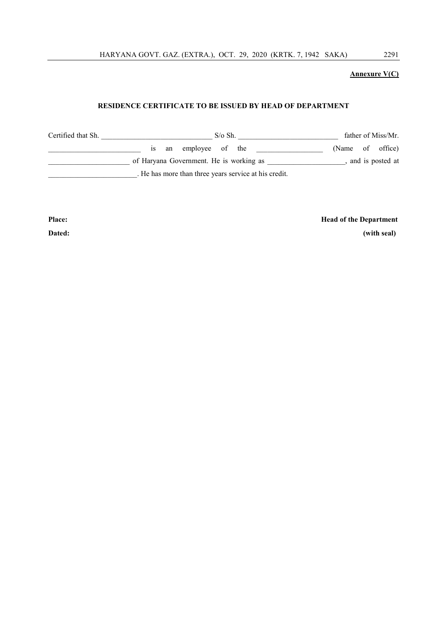HARYANA GOVT. GAZ. (EXTRA.), OCT. 29, 2020 (KRTK. 7, 1942 SAKA) 2291

## Annexure V(C)

## RESIDENCE CERTIFICATE TO BE ISSUED BY HEAD OF DEPARTMENT

| Certified that Sh. | $S/\sigma Sh$ .                                       | father of Miss/Mr. |  |  |
|--------------------|-------------------------------------------------------|--------------------|--|--|
|                    | employee of the<br>an<br>1S                           | (Name of office)   |  |  |
|                    | of Haryana Government. He is working as               | and is posted at   |  |  |
|                    | . He has more than three years service at his credit. |                    |  |  |

Place: Head of the Department

Dated: (with seal)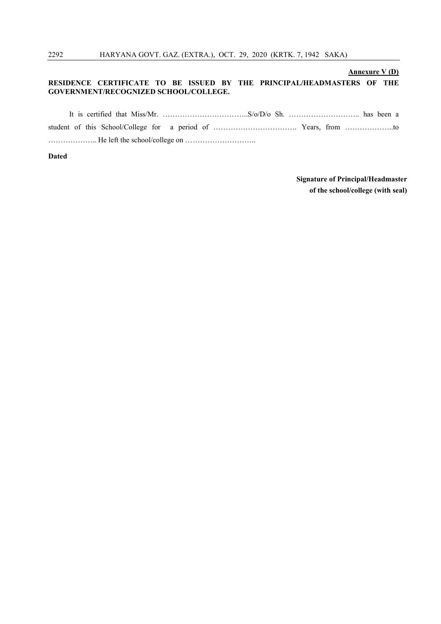## Annexure V (D)

## RESIDENCE CERTIFICATE TO BE ISSUED BY THE PRINCIPAL/HEADMASTERS OF THE GOVERNMENT/RECOGNIZED SCHOOL/COLLEGE.

Dated

## Signature of Principal/Headmaster of the school/college (with seal)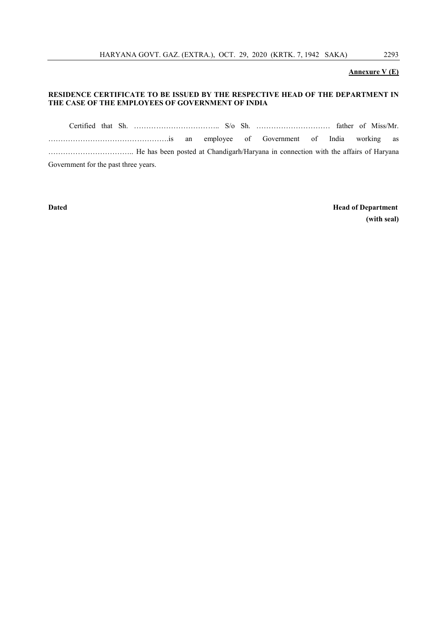## Annexure V (E)

## RESIDENCE CERTIFICATE TO BE ISSUED BY THE RESPECTIVE HEAD OF THE DEPARTMENT IN THE CASE OF THE EMPLOYEES OF GOVERNMENT OF INDIA

Certified that Sh. …………………………….. S/o Sh. ………………………… father of Miss/Mr. ………………………………………….is an employee of Government of India working as …………………………….. He has been posted at Chandigarh/Haryana in connection with the affairs of Haryana Government for the past three years.

Dated Head of Department (with seal)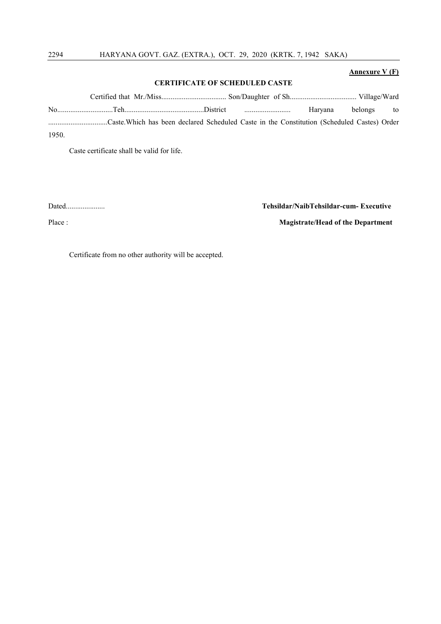## Annexure V (F)

#### CERTIFICATE OF SCHEDULED CASTE

Certified that Mr./Miss................................... Son/Daughter of Sh.................................... Village/Ward No..............................Teh...........................................District ......................... Haryana belongs to ................................Caste.Which has been declared Scheduled Caste in the Constitution (Scheduled Castes) Order 1950.

Caste certificate shall be valid for life.

Dated..................... Tehsildar/NaibTehsildar-cum- Executive

Place : Magistrate/Head of the Department

Certificate from no other authority will be accepted.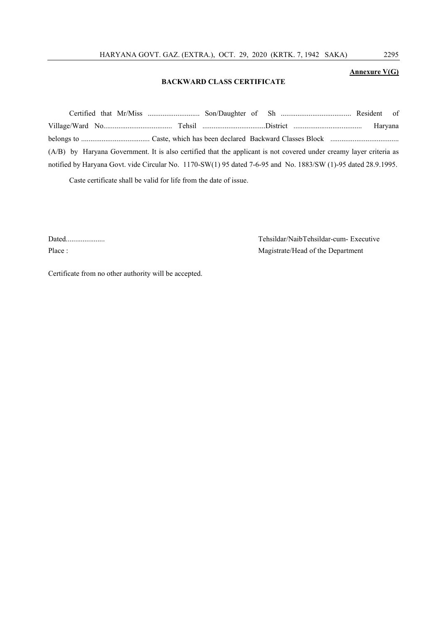## Annexure V(G)

## BACKWARD CLASS CERTIFICATE

| (A/B) by Haryana Government. It is also certified that the applicant is not covered under creamy layer criteria as |  |
|--------------------------------------------------------------------------------------------------------------------|--|
| notified by Haryana Govt. vide Circular No. 1170-SW(1) 95 dated 7-6-95 and No. 1883/SW (1)-95 dated 28.9.1995.     |  |

Caste certificate shall be valid for life from the date of issue.

Dated..................... Tehsildar/NaibTehsildar-cum- Executive Place : Magistrate/Head of the Department

Certificate from no other authority will be accepted.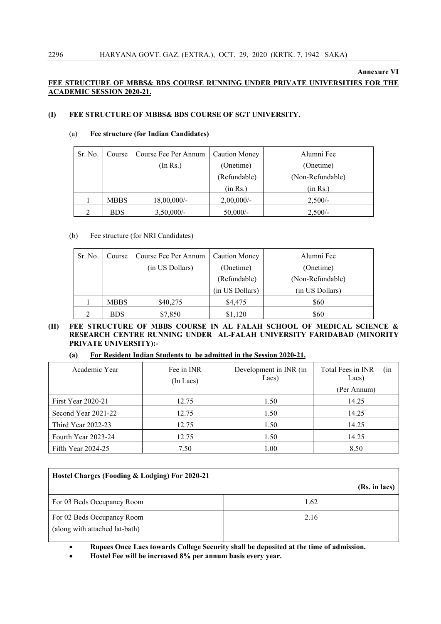## Annexure VI

## FEE STRUCTURE OF MBBS& BDS COURSE RUNNING UNDER PRIVATE UNIVERSITIES FOR THE ACADEMIC SESSION 2020-21.

## (I) FEE STRUCTURE OF MBBS& BDS COURSE OF SGT UNIVERSITY.

## (a) Fee structure (for Indian Candidates)

| Sr. No.        | Course      | Course Fee Per Annum | <b>Caution Money</b>   | Alumni Fee       |
|----------------|-------------|----------------------|------------------------|------------------|
|                |             | (In Rs.)             | (Onetime)<br>(Onetime) |                  |
|                |             |                      | (Refundable)           | (Non-Refundable) |
|                |             |                      | (in Rs.)               | (in Rs.)         |
|                | <b>MBBS</b> | $18,00,000/$ -       | $2,00,000/$ -          | $2,500/-$        |
| $\mathfrak{D}$ | BDS         | $3,50,000/-$         | $50,000/-$             | $2,500/-$        |

## (b) Fee structure (for NRI Candidates)

| Sr. No. | Course      | Course Fee Per Annum | <b>Caution Money</b> | Alumni Fee       |
|---------|-------------|----------------------|----------------------|------------------|
|         |             | (in US Dollars)      | (Onetime)            | (Onetime)        |
|         |             |                      | (Refundable)         | (Non-Refundable) |
|         |             |                      | (in US Dollars)      | (in US Dollars)  |
|         | <b>MBBS</b> | \$40,275             | \$4,475              | \$60             |
|         | <b>BDS</b>  | \$7,850              | \$1,120              | \$60             |

(II) FEE STRUCTURE OF MBBS COURSE IN AL FALAH SCHOOL OF MEDICAL SCIENCE & RESEARCH CENTRE RUNNING UNDER AL-FALAH UNIVERSITY FARIDABAD (MINORITY PRIVATE UNIVERSITY):-

## (a) For Resident Indian Students to be admitted in the Session 2020-21.

| Academic Year             | Fee in INR<br>$(In$ Lacs $)$ | Development in INR (in<br>Lacs) | Total Fees in INR<br>(in<br>Lacs)<br>(Per Annum) |  |
|---------------------------|------------------------------|---------------------------------|--------------------------------------------------|--|
| <b>First Year 2020-21</b> | 12.75                        | 1.50                            | 14.25                                            |  |
| Second Year 2021-22       | 12.75                        | 1.50                            | 14.25                                            |  |
| Third Year 2022-23        | 12.75                        | 1.50                            | 14.25                                            |  |
| Fourth Year 2023-24       | 12.75                        | 1.50                            | 14.25                                            |  |
| Fifth Year $2024-25$      | 7.50                         | 1.00                            | 8.50                                             |  |

| Hostel Charges (Fooding & Lodging) For 2020-21               |               |  |  |  |  |  |  |
|--------------------------------------------------------------|---------------|--|--|--|--|--|--|
|                                                              | (Rs. in lacs) |  |  |  |  |  |  |
| For 03 Beds Occupancy Room                                   | 1.62          |  |  |  |  |  |  |
| For 02 Beds Occupancy Room<br>(along with attached lat-bath) | 2.16          |  |  |  |  |  |  |

Rupees Once Lacs towards College Security shall be deposited at the time of admission.

Hostel Fee will be increased 8% per annum basis every year.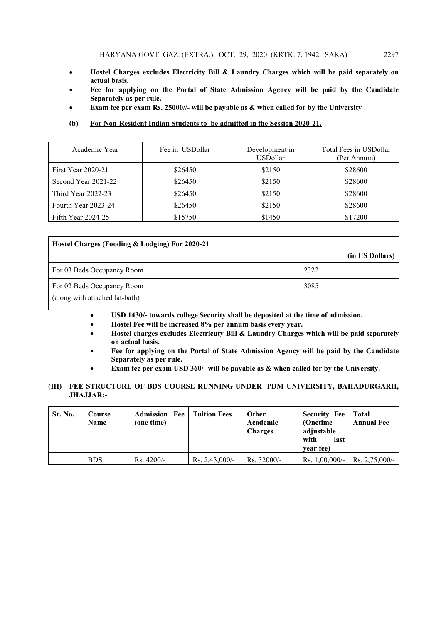- Hostel Charges excludes Electricity Bill & Laundry Charges which will be paid separately on actual basis.
- Fee for applying on the Portal of State Admission Agency will be paid by the Candidate Separately as per rule.
- Exam fee per exam Rs. 25000//- will be payable as & when called for by the University
- (b) For Non-Resident Indian Students to be admitted in the Session 2020-21.

| Academic Year        | Fee in USDollar | Development in<br><b>USDollar</b> | Total Fees in USDollar<br>(Per Annum) |  |
|----------------------|-----------------|-----------------------------------|---------------------------------------|--|
| First Year 2020-21   | \$26450         | \$2150                            | \$28600                               |  |
| Second Year 2021-22  | \$26450         | \$2150                            | \$28600                               |  |
| Third Year 2022-23   | \$26450         | \$2150                            | \$28600                               |  |
| Fourth Year 2023-24  | \$26450         | \$2150                            | \$28600                               |  |
| Fifth Year $2024-25$ | \$15750         | \$1450                            | \$17200                               |  |

| Hostel Charges (Fooding & Lodging) For 2020-21               |                 |  |  |  |  |  |  |  |
|--------------------------------------------------------------|-----------------|--|--|--|--|--|--|--|
|                                                              | (in US Dollars) |  |  |  |  |  |  |  |
| For 03 Beds Occupancy Room                                   | 2322            |  |  |  |  |  |  |  |
| For 02 Beds Occupancy Room<br>(along with attached lat-bath) | 3085            |  |  |  |  |  |  |  |

- USD 1430/- towards college Security shall be deposited at the time of admission.
- Hostel Fee will be increased 8% per annum basis every year.
- Hostel charges excludes Electricuty Bill & Laundry Charges which will be paid separately on actual basis.
- Fee for applying on the Portal of State Admission Agency will be paid by the Candidate Separately as per rule.
- Exam fee per exam USD 360/- will be payable as & when called for by the University.

## (III) FEE STRUCTURE OF BDS COURSE RUNNING UNDER PDM UNIVERSITY, BAHADURGARH, JHAJJAR:-

| Sr. No. | Course<br><b>Name</b> | <b>Admission Fee</b><br>(one time) | <b>Tuition Fees</b> | <b>Other</b><br>Academic<br><b>Charges</b> | <b>Security Fee</b><br>(Onetime)<br>adjustable<br>with<br>last<br>vear fee) | Total<br><b>Annual Fee</b> |
|---------|-----------------------|------------------------------------|---------------------|--------------------------------------------|-----------------------------------------------------------------------------|----------------------------|
|         | <b>BDS</b>            | $Rs.4200/-$                        | Rs. $2,43,000/-$    | $Rs. 32000/-$                              | Rs. $1,00,000/-$                                                            | Rs. $2,75,000/-$           |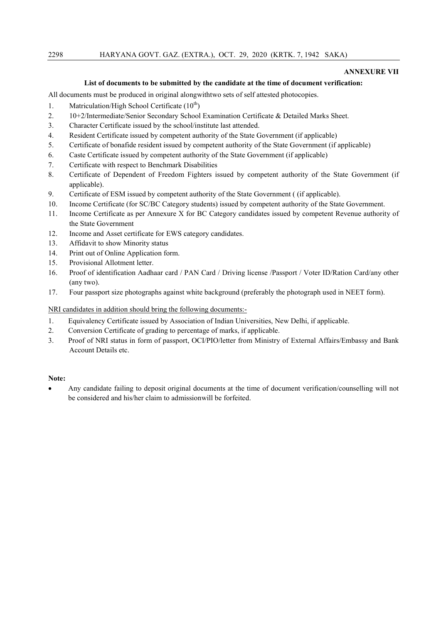## ANNEXURE VII

## List of documents to be submitted by the candidate at the time of document verification:

All documents must be produced in original alongwithtwo sets of self attested photocopies.

- 1. Matriculation/High School Certificate  $(10<sup>th</sup>)$
- 2. 10+2/Intermediate/Senior Secondary School Examination Certificate & Detailed Marks Sheet.
- 3. Character Certificate issued by the school/institute last attended.
- 4. Resident Certificate issued by competent authority of the State Government (if applicable)
- 5. Certificate of bonafide resident issued by competent authority of the State Government (if applicable)
- 6. Caste Certificate issued by competent authority of the State Government (if applicable)
- 7. Certificate with respect to Benchmark Disabilities
- 8. Certificate of Dependent of Freedom Fighters issued by competent authority of the State Government (if applicable).
- 9. Certificate of ESM issued by competent authority of the State Government ( (if applicable).
- 10. Income Certificate (for SC/BC Category students) issued by competent authority of the State Government.
- 11. Income Certificate as per Annexure X for BC Category candidates issued by competent Revenue authority of the State Government
- 12. Income and Asset certificate for EWS category candidates.
- 13. Affidavit to show Minority status
- 14. Print out of Online Application form.
- 15. Provisional Allotment letter.
- 16. Proof of identification Aadhaar card / PAN Card / Driving license /Passport / Voter ID/Ration Card/any other (any two).
- 17. Four passport size photographs against white background (preferably the photograph used in NEET form).

NRI candidates in addition should bring the following documents:-

- 1. Equivalency Certificate issued by Association of Indian Universities, New Delhi, if applicable.
- 2. Conversion Certificate of grading to percentage of marks, if applicable.
- 3. Proof of NRI status in form of passport, OCI/PIO/letter from Ministry of External Affairs/Embassy and Bank Account Details etc.

#### Note:

 Any candidate failing to deposit original documents at the time of document verification/counselling will not be considered and his/her claim to admissionwill be forfeited.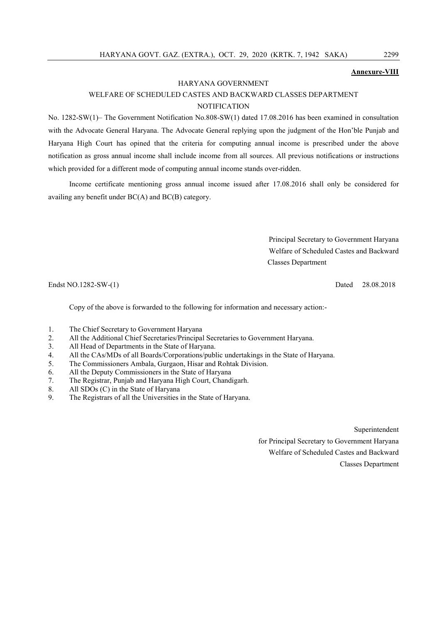## Annexure-VIII

#### HARYANA GOVERNMENT

## WELFARE OF SCHEDULED CASTES AND BACKWARD CLASSES DEPARTMENT **NOTIFICATION**

No. 1282-SW(1)– The Government Notification No.808-SW(1) dated 17.08.2016 has been examined in consultation with the Advocate General Haryana. The Advocate General replying upon the judgment of the Hon'ble Punjab and Haryana High Court has opined that the criteria for computing annual income is prescribed under the above notification as gross annual income shall include income from all sources. All previous notifications or instructions which provided for a different mode of computing annual income stands over-ridden.

Income certificate mentioning gross annual income issued after 17.08.2016 shall only be considered for availing any benefit under BC(A) and BC(B) category.

> Principal Secretary to Government Haryana Welfare of Scheduled Castes and Backward Classes Department

Endst NO.1282-SW-(1) Dated 28.08.2018

Copy of the above is forwarded to the following for information and necessary action:-

- 1. The Chief Secretary to Government Haryana
- 2. All the Additional Chief Secretaries/Principal Secretaries to Government Haryana.
- 3. All Head of Departments in the State of Haryana.
- 4. All the CAs/MDs of all Boards/Corporations/public undertakings in the State of Haryana.
- 5. The Commissioners Ambala, Gurgaon, Hisar and Rohtak Division.
- 6. All the Deputy Commissioners in the State of Haryana
- 7. The Registrar, Punjab and Haryana High Court, Chandigarh.
- 8. All SDOs (C) in the State of Haryana
- 9. The Registrars of all the Universities in the State of Haryana.

Superintendent for Principal Secretary to Government Haryana Welfare of Scheduled Castes and Backward Classes Department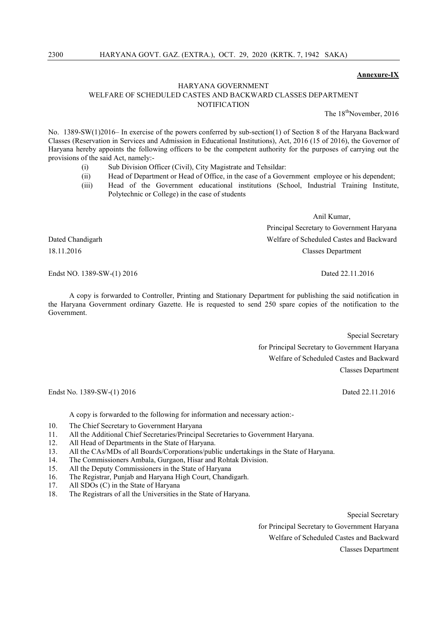#### Annexure-IX

## HARYANA GOVERNMENT WELFARE OF SCHEDULED CASTES AND BACKWARD CLASSES DEPARTMENT **NOTIFICATION**

The 18<sup>th</sup>November, 2016

No. 1389-SW(1)2016– In exercise of the powers conferred by sub-section(1) of Section 8 of the Haryana Backward Classes (Reservation in Services and Admission in Educational Institutions), Act, 2016 (15 of 2016), the Governor of Haryana hereby appoints the following officers to be the competent authority for the purposes of carrying out the provisions of the said Act, namely:-

- (i) Sub Division Officer (Civil), City Magistrate and Tehsildar:
- (ii) Head of Department or Head of Office, in the case of a Government employee or his dependent;
- (iii) Head of the Government educational institutions (School, Industrial Training Institute, Polytechnic or College) in the case of students

Anil Kumar,

Principal Secretary to Government Haryana Dated Chandigarh Welfare of Scheduled Castes and Backward 18.11.2016 Classes Department

Endst NO. 1389-SW-(1) 2016 **Dated 22.11.2016** Dated 22.11.2016

A copy is forwarded to Controller, Printing and Stationary Department for publishing the said notification in the Haryana Government ordinary Gazette. He is requested to send 250 spare copies of the notification to the Government.

> Special Secretary for Principal Secretary to Government Haryana Welfare of Scheduled Castes and Backward Classes Department

Endst No. 1389-SW-(1) 2016 **Dated 22.11.2016** Dated 22.11.2016

A copy is forwarded to the following for information and necessary action:-

- 10. The Chief Secretary to Government Haryana
- 11. All the Additional Chief Secretaries/Principal Secretaries to Government Haryana.
- 12. All Head of Departments in the State of Haryana.
- 13. All the CAs/MDs of all Boards/Corporations/public undertakings in the State of Haryana.
- 14. The Commissioners Ambala, Gurgaon, Hisar and Rohtak Division.
- 15. All the Deputy Commissioners in the State of Haryana
- 16. The Registrar, Punjab and Haryana High Court, Chandigarh.<br>17. All SDOs (C) in the State of Haryana
- All SDOs (C) in the State of Haryana
- 18. The Registrars of all the Universities in the State of Haryana.

Special Secretary for Principal Secretary to Government Haryana Welfare of Scheduled Castes and Backward Classes Department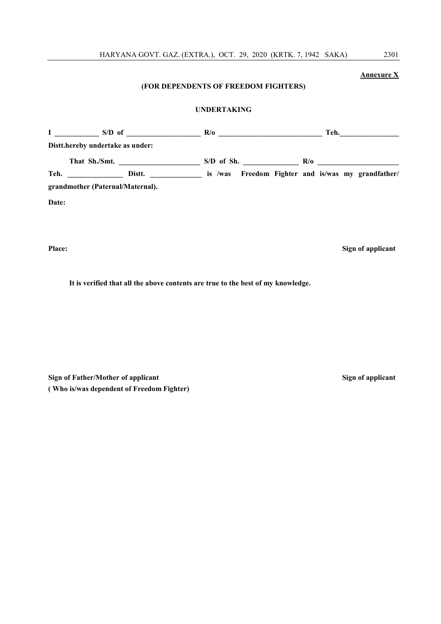HARYANA GOVT. GAZ. (EXTRA.), OCT. 29, 2020 (KRTK. 7, 1942 SAKA) 2301

## Annexure X (FOR DEPENDENTS OF FREEDOM FIGHTERS) UNDERTAKING  $I \longrightarrow S/D$  of  $\longrightarrow R/O$   $\longrightarrow R/O$   $\longrightarrow$  Teh. Distt.hereby undertake as under: That Sh./Smt. \_\_\_\_\_\_\_\_\_\_\_\_\_\_\_\_\_\_\_\_\_\_ S/D of Sh. \_\_\_\_\_\_\_\_\_\_\_\_\_\_\_ R/o \_\_\_\_\_\_\_\_\_\_\_\_\_\_\_\_\_\_\_\_\_\_ Teh. **Distt. Disterment Communist Example 2** is /was Freedom Fighter and is/was my grandfather/

grandmother (Paternal/Maternal).

Date:

Place: Sign of applicant

It is verified that all the above contents are true to the best of my knowledge.

Sign of Father/Mother of applicant Sign of applicant Sign of applicant ( Who is/was dependent of Freedom Fighter)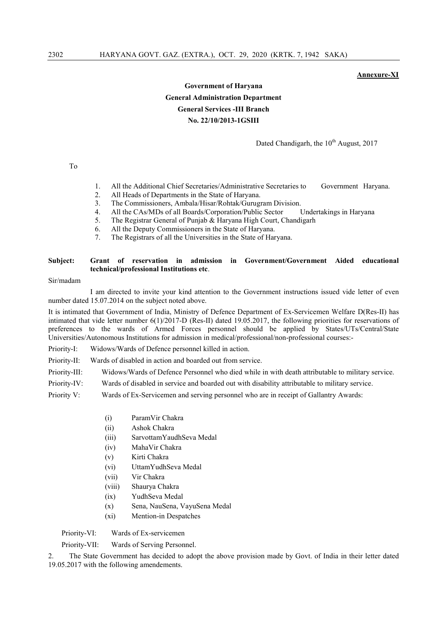#### Annexure-XI

## Government of Haryana General Administration Department General Services -III Branch No. 22/10/2013-1GSIII

## Dated Chandigarh, the 10<sup>th</sup> August, 2017

To

- 1. All the Additional Chief Secretaries/Administrative Secretaries to Government Haryana.
- 2. All Heads of Departments in the State of Haryana.
- 3. The Commissioners, Ambala/Hisar/Rohtak/Gurugram Division.
- 4. All the CAs/MDs of all Boards/Corporation/Public Sector Undertakings in Haryana
- 5. The Registrar General of Punjab & Haryana High Court, Chandigarh
- 6. All the Deputy Commissioners in the State of Haryana.
- 7. The Registrars of all the Universities in the State of Haryana.

## Subject: Grant of reservation in admission in Government/Government Aided educational technical/professional Institutions etc.

#### Sir/madam

I am directed to invite your kind attention to the Government instructions issued vide letter of even number dated 15.07.2014 on the subject noted above.

It is intimated that Government of India, Ministry of Defence Department of Ex-Servicemen Welfare D(Res-II) has intimated that vide letter number 6(1)/2017-D (Res-II) dated 19.05.2017, the following priorities for reservations of preferences to the wards of Armed Forces personnel should be applied by States/UTs/Central/State Universities/Autonomous Institutions for admission in medical/professional/non-professional courses:-

- Priority-I: Widows/Wards of Defence personnel killed in action.
- Priority-II: Wards of disabled in action and boarded out from service.

Priority-III: Widows/Wards of Defence Personnel who died while in with death attributable to military service.

Priority-IV: Wards of disabled in service and boarded out with disability attributable to military service.

Priority V: Wards of Ex-Servicemen and serving personnel who are in receipt of Gallantry Awards:

- (i) ParamVir Chakra
- (ii) Ashok Chakra
- (iii) SarvottamYaudhSeva Medal
- (iv) MahaVir Chakra
- (v) Kirti Chakra
- (vi) UttamYudhSeva Medal
- (vii) Vir Chakra
- (viii) Shaurya Chakra
- (ix) YudhSeva Medal
- (x) Sena, NauSena, VayuSena Medal
- (xi) Mention-in Despatches

Priority-VI: Wards of Ex-servicemen

Priority-VII: Wards of Serving Personnel.

2. The State Government has decided to adopt the above provision made by Govt. of India in their letter dated 19.05.2017 with the following amendements.